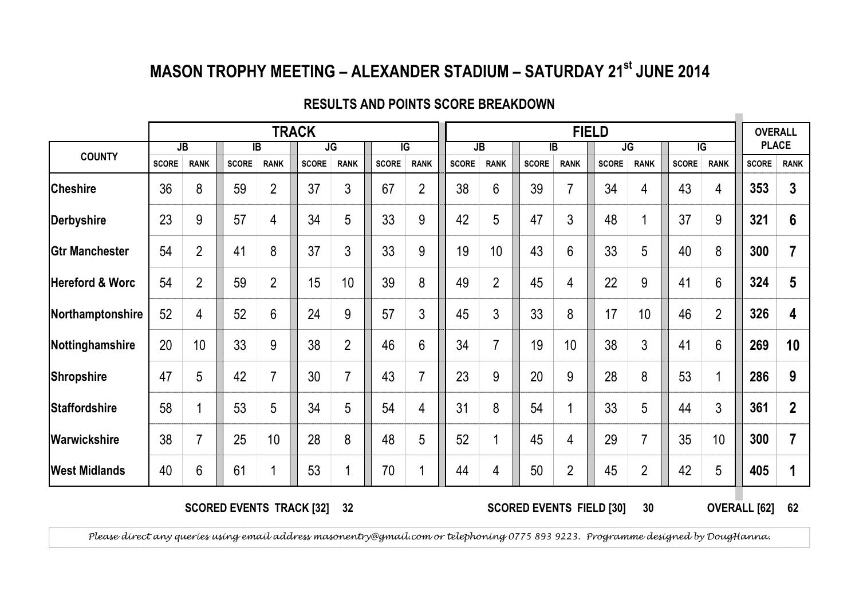## MASON TROPHY MEETING - ALEXANDER STADIUM - SATURDAY 21<sup>st</sup> JUNE 2014

|                            |              |                |              |                | <b>TRACK</b> |                |              |                |              |                |              |                | <b>FIELD</b> |                |                |                 | <b>OVERALL</b> |                  |
|----------------------------|--------------|----------------|--------------|----------------|--------------|----------------|--------------|----------------|--------------|----------------|--------------|----------------|--------------|----------------|----------------|-----------------|----------------|------------------|
|                            | <b>JB</b>    |                | IB           |                |              | JG             |              | $\overline{G}$ |              | <b>JB</b>      |              | IB             |              | <b>JG</b>      | $\overline{G}$ |                 | <b>PLACE</b>   |                  |
| <b>COUNTY</b>              | <b>SCORE</b> | <b>RANK</b>    | <b>SCORE</b> | <b>RANK</b>    | <b>SCORE</b> | <b>RANK</b>    | <b>SCORE</b> | <b>RANK</b>    | <b>SCORE</b> | <b>RANK</b>    | <b>SCORE</b> | <b>RANK</b>    | <b>SCORE</b> | <b>RANK</b>    | <b>SCORE</b>   | <b>RANK</b>     | <b>SCORE</b>   | <b>RANK</b>      |
| <b>Cheshire</b>            | 36           | 8              | 59           | $\overline{2}$ | 37           | 3              | 67           | $\overline{2}$ | 38           | 6              | 39           | 7              | 34           | 4              | 43             | 4               | 353            | 3                |
| Derbyshire                 | 23           | 9              | 57           | 4              | 34           | 5              | 33           | 9              | 42           | 5              | 47           | 3              | 48           |                | 37             | 9               | 321            | 6                |
| <b>Gtr Manchester</b>      | 54           | $\overline{2}$ | 41           | 8              | 37           | 3              | 33           | 9              | 19           | 10             | 43           | 6              | 33           | 5              | 40             | 8               | 300            | 7                |
| <b>Hereford &amp; Worc</b> | 54           | $\overline{2}$ | 59           | $\overline{2}$ | 15           | 10             | 39           | 8              | 49           | $\overline{2}$ | 45           | 4              | 22           | 9              | 41             | 6               | 324            | 5                |
| Northamptonshire           | 52           | 4              | 52           | 6              | 24           | 9              | 57           | 3              | 45           | 3              | 33           | 8              | 17           | 10             | 46             | $\overline{2}$  | 326            | 4                |
| Nottinghamshire            | 20           | 10             | 33           | 9              | 38           | $\overline{2}$ | 46           | 6              | 34           | 7              | 19           | 10             | 38           | 3              | 41             | $6\phantom{1}6$ | 269            | 10               |
| Shropshire                 | 47           | 5              | 42           | 7              | 30           | 7              | 43           | $\overline{7}$ | 23           | 9              | 20           | 9              | 28           | 8              | 53             |                 | 286            | 9                |
| <b>Staffordshire</b>       | 58           |                | 53           | 5              | 34           | 5              | 54           | 4              | 31           | 8              | 54           | 4              | 33           | 5              | 44             | $\mathfrak{Z}$  | 361            | $\boldsymbol{2}$ |
| Warwickshire               | 38           | $\overline{7}$ | 25           | 10             | 28           | 8              | 48           | 5              | 52           |                | 45           | 4              | 29           | $\overline{7}$ | 35             | 10              | 300            | 7                |
| <b>West Midlands</b>       | 40           | 6              | 61           |                | 53           |                | 70           | 1              | 44           | 4              | 50           | $\overline{2}$ | 45           | $\overline{2}$ | 42             | 5               | 405            | 1                |

## RESULTS AND POINTS SCORE BREAKDOWN

SCORED EVENTS TRACK [32] 32

 <sup>62</sup> SCORED EVENTS FIELD [30] OVERALL [62]30

 $\mathcal{L}_{\mathcal{A}}$ 

Please direct any queries using email address masonentry@gmail.com or telephoning 0775 893 9223. Programme designed by DougHanna.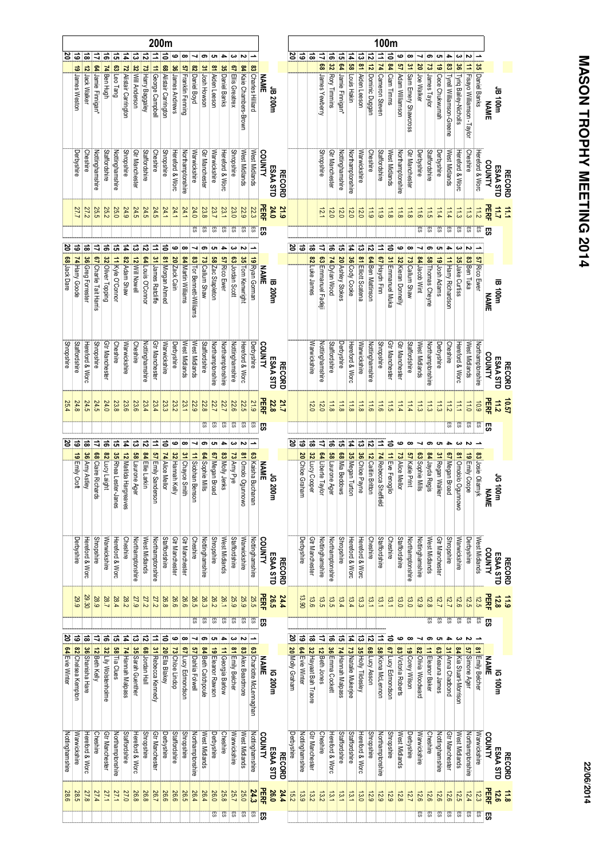|                     |                    |                 |                   |                        |                      |                      |                        |                   |                       | 200m                  |                        |                  |                                  |                         |                    |                   |                   |                   |                          |                          |             |                |                 |                 |                      |                   |                              |                       |                     |                       |                    | 100m                 |                   |                     |                        |                    |                  |                   |                             |                            |                              |                   |             |                    |               |
|---------------------|--------------------|-----------------|-------------------|------------------------|----------------------|----------------------|------------------------|-------------------|-----------------------|-----------------------|------------------------|------------------|----------------------------------|-------------------------|--------------------|-------------------|-------------------|-------------------|--------------------------|--------------------------|-------------|----------------|-----------------|-----------------|----------------------|-------------------|------------------------------|-----------------------|---------------------|-----------------------|--------------------|----------------------|-------------------|---------------------|------------------------|--------------------|------------------|-------------------|-----------------------------|----------------------------|------------------------------|-------------------|-------------|--------------------|---------------|
|                     | ಜ ಜ                | ಹ               |                   | ₹                      | 'ವ                   | ದ                    | $\overline{1}$         | ದ                 | ನ                     |                       | ぉ                      | ဖ                | œ                                |                         | ග                  | ပေး               | 4                 | دە                | $\overline{\phantom{a}}$ |                          |             |                | 2               | 'ಹ              | ಹ                    | ₹                 | ಹ<br>$\overline{\mathbf{z}}$ | 하                     | 4                   | ದ                     | ನ                  |                      | ᇹ                 | ဖ                   | œ                      |                    | ග                | ပေး               |                             | ယ                          | Z                            | ∸                 |             |                    |               |
|                     | 19 James Weston    |                 | 12 Jack Walker    | 64 Jamie Finnigan'     | 74 Ben Hugh          | 63 Leo Tang          | 72 Alistair Carrington | 32 Will Anderson  | 73 Harry Baggaley     | 11 George Campbell    | 68 Alistair Carrington | 36 James Andrews | <mark>57</mark> Franklin Fenning | 82 Daniel Boyd          | 31 Josh Howson     | 81 Aiden Leeson   | 35 Daniel Banks   | 67 Ellis Greatrex | 84 Kaie Chambers-Brown   |                          | <b>NAME</b> |                |                 |                 |                      | 8                 |                              | 64 Jamie Finnigan     | 58 Louis Hakin      | 81 Aiden Leeson       | 12 Dominic Duggan  | 11 74 Cameron Steven | 84 Ciam Tinnns    | 57 Adam Williamson  | 31 Sam Emery Shawcross | S                  | 73 James Taylor  | 19 Cece Chukwumah | 83 Tyrell Williamson-Greene | S,                         | 11 Fisayo Williamson -Taylor | 35 Daniel Banks   |             |                    |               |
|                     |                    |                 |                   |                        |                      |                      |                        |                   |                       |                       |                        |                  |                                  |                         |                    |                   |                   |                   |                          | Charles<br>Hiliard       |             | JB 200m        |                 |                 |                      | James Yewberry    | Rory Timmins                 |                       |                     |                       |                    |                      |                   |                     |                        | Joe Walker         |                  |                   |                             |                            |                              |                   |             | u00 HD             |               |
|                     |                    |                 |                   |                        |                      |                      |                        |                   |                       |                       |                        |                  |                                  |                         |                    |                   |                   |                   |                          |                          |             |                |                 |                 |                      |                   |                              |                       |                     |                       |                    |                      |                   |                     |                        |                    |                  |                   |                             | Tyriq Bailey-Nicholls      |                              |                   | <b>NAME</b> |                    |               |
|                     |                    |                 |                   |                        |                      |                      |                        |                   |                       |                       |                        |                  |                                  |                         |                    |                   |                   |                   |                          |                          |             |                |                 |                 |                      |                   |                              |                       |                     |                       |                    |                      |                   |                     |                        |                    |                  |                   |                             |                            |                              |                   |             |                    |               |
|                     |                    |                 |                   |                        |                      |                      |                        |                   |                       |                       |                        |                  |                                  |                         |                    |                   |                   |                   |                          |                          |             |                |                 |                 |                      |                   |                              |                       |                     |                       |                    |                      |                   |                     |                        |                    |                  |                   |                             |                            |                              |                   |             |                    |               |
|                     | Derbyshire         |                 | Cheshire          | Nottinghamshire        | Staffordshire        | Nottinghamshire      | <b>Shropshire</b>      | Gtr Manchester    | Staffordshire         | Cheshire              | <b>Shropshire</b>      | Hereford & Worc  | Northamptonshire                 | Warwickshire            | Gtr Manchester     | Warwickshire      | Hereford & Worc   | <b>Shropshire</b> | West Midlands            | West Midlands            | COUNTY      |                |                 |                 |                      | <b>Shropshire</b> | Gtr Manchester               | Nottinghamshire       | Northamptonshire    | Warwickshire          | Cheshire           | Staffordshire        | West Midlands     | Northamptonshire    | Gtr Manchester         | Derbyshire         | Staffordshire    | Derbyshire        | West Midlands               | Hereford & Worc            | Cheshire                     | Hereford & Worc   |             |                    |               |
|                     |                    |                 |                   |                        |                      |                      |                        |                   |                       |                       |                        |                  |                                  |                         |                    |                   |                   |                   |                          |                          |             | ESAA STD       |                 |                 |                      |                   |                              |                       |                     |                       |                    |                      |                   |                     |                        |                    |                  |                   |                             |                            |                              |                   | COUNTY      | ESAA STD           |               |
|                     |                    |                 |                   |                        |                      |                      |                        |                   |                       |                       |                        |                  |                                  |                         |                    |                   |                   |                   |                          |                          |             |                | <b>RECORD</b>   |                 |                      |                   |                              |                       |                     |                       |                    |                      |                   |                     |                        |                    |                  |                   |                             |                            |                              |                   |             |                    | <b>RECORD</b> |
|                     | 27.7               |                 | 27.2              | 25.5                   | 25.2                 | 25.0                 | 24.9                   | 24.5              | 24.5                  | 24.5                  | 24.1                   | 24.1             | 24.1                             | 24.0                    | 23.8               | 23.7              | 23.1              | 23.0              | 22.9                     | 22.3                     | PERF        | 24.0           | 21.9            |                 |                      | 12.1              | 12.0                         | 12.0                  | 12.0                | 12.0                  | 11.9               | $\frac{1}{2}$        | 11.8              | 11.8                | 11.8                   | $\frac{11}{6}$     | 11.5             | $\frac{114}{4}$   | 11.4                        | 11.3                       | $\frac{11}{3}$               | 11.2              | PERF        | 三三                 |               |
|                     |                    |                 |                   |                        |                      |                      |                        |                   |                       |                       |                        |                  |                                  | 5                       | Cβ                 | 5                 | СS                | ES                | 55                       | 59                       | 切           |                |                 |                 |                      |                   |                              |                       |                     |                       |                    |                      |                   |                     |                        | S3                 | СS               | CS                | C5                          | S)                         | 55                           | 5                 |             |                    |               |
| జ                   | ಹ                  |                 | ಹ                 | ₹                      | $\vec{a}$            | 5                    | $\vec{a}$              | ದ                 | ನ                     | ⇉                     | さ                      | ဖ                | œ                                |                         |                    | ပာ                |                   | ယ                 | N                        |                          |             |                | 8               | ¦ಹ              | $\vec{a}$            | ₹                 | ಕ                            | 능                     | 4                   | ದ                     | ನ                  | ∣⇒                   | ਫੋ                | ڡ                   | ൦                      |                    | ග                | ပာ                |                             |                            |                              |                   |             |                    |               |
|                     |                    |                 |                   |                        |                      |                      |                        |                   |                       |                       |                        |                  |                                  |                         |                    | 89                |                   |                   |                          | ಕ                        |             |                |                 |                 |                      |                   |                              |                       |                     |                       |                    |                      |                   |                     |                        |                    |                  |                   |                             |                            |                              |                   |             |                    |               |
| <b>68</b> Jack Dare | 74 Harry Goode     |                 | 36 Greg Forrester | 67 Charlie Tait Harris | 32 Oliver Topping    | 11 Kyle O'Connor     | 82 Adam Shaw           | 12 Will Nowell    | 64 Louis O'Connor     | 31 James Ratcliffe    | 81 Morgan Ahmed        | 20 Zack Cain     | 84 Martin Williams               |                         | 73 Callum Shaw     | Zac Stapleton     | 57 Rico Ewer      | 63 Jordan Scott   | 35 Tom Kenwright         | Ryan Gorman              | <b>NAME</b> |                |                 |                 | 82 Luke James        | 63 Emmanuel Fadej | 74 Dylan Wood                | 20 Ashley Stokes      | 36 Cody Cooke       | 81 Elliott Scatena    | 64 Ben Mattinson   | 67 Haydn Finn        | 31 Emmanuel Muka  | 32 Kieran Donnelly  | 73 Callum Shaw         | 84 Jacob Wint      | 58 Thomas Cheyne | 19 Josh Adams     | 11 Harry Richardson         | 35 Jake Curtiss            | 83 Ben Tuka                  | 57 Rico Ewer      |             |                    |               |
|                     |                    |                 |                   |                        |                      |                      |                        |                   |                       |                       |                        |                  |                                  |                         |                    |                   |                   |                   |                          |                          |             | <b>IB 200m</b> |                 |                 |                      |                   |                              |                       |                     |                       |                    |                      |                   |                     |                        |                    |                  |                   |                             |                            |                              |                   |             | <b>IB 100m</b>     |               |
|                     |                    |                 |                   |                        |                      |                      |                        |                   |                       |                       |                        |                  |                                  | 83 Tor Bennett-Williams |                    |                   |                   |                   |                          |                          |             |                |                 |                 |                      |                   |                              |                       |                     |                       |                    |                      |                   |                     |                        |                    |                  |                   |                             |                            |                              |                   | <b>NAME</b> |                    |               |
|                     |                    |                 |                   |                        |                      |                      |                        |                   |                       |                       |                        |                  |                                  |                         |                    |                   |                   |                   |                          |                          |             |                |                 |                 |                      |                   |                              |                       |                     |                       |                    |                      |                   |                     |                        |                    |                  |                   |                             |                            |                              |                   |             |                    |               |
|                     |                    |                 |                   |                        |                      |                      |                        |                   |                       |                       |                        |                  |                                  |                         |                    |                   |                   |                   |                          |                          |             |                |                 |                 |                      |                   |                              |                       |                     |                       |                    |                      |                   |                     |                        |                    |                  |                   |                             |                            |                              |                   |             |                    |               |
| <b>Shropshire</b>   | Staffordshire      |                 |                   | <b>Shropshire</b>      | Gtr Manchester       | Cheshire             | Warwickshire           | Cheshire          | Nottinghamshire       | Gtr Manchester        | Warwickshire           | Derbyshire       | West Midlands                    | West Midlands           | Staffordshire      |                   |                   | Nottinghamshire   |                          | Derbyshire               | COUNTY      |                |                 |                 | Warwickshire         | Nottinghamshire   | Staffordshire                | Derbyshire            |                     | Warwickshire          | Nottinghamshire    | Shropshire           | Gtr Manchester    | Gtr Manchester      | Staffordshire          | West Midlands      |                  | Derbyshire        | Cheshire                    |                            | West Midlands                |                   | COUNTY      |                    |               |
|                     |                    | Hereford & Worc |                   |                        |                      |                      |                        |                   |                       |                       |                        |                  |                                  |                         |                    | Northamptonshire  | Northamptonshire  |                   | Hereford & Worc          |                          |             | ESAA STD       | <b>RECORD</b>   |                 |                      |                   |                              |                       | Hereford & Worc     |                       |                    |                      |                   |                     |                        |                    | Northamptonshire |                   |                             | Hereford & Worc            |                              | Northamptonshire  |             | ESAA STD           | <b>RECORD</b> |
|                     |                    |                 |                   |                        |                      |                      |                        |                   |                       |                       |                        |                  |                                  |                         |                    |                   |                   |                   |                          |                          |             |                |                 |                 |                      |                   |                              |                       |                     |                       |                    |                      |                   |                     |                        |                    |                  |                   |                             |                            |                              |                   |             |                    |               |
| 25.4                | 24.8               |                 | 24.5              | 24.5                   | 24.0                 | 23.8                 | 23.6                   | 23.6              | 23.4                  | 23.4                  | 23.3                   | 23.2             | 23.1                             | 22.9                    | 22.8               | 22.7              | 22.7              | 22.6              | 22.5                     | 21.9                     | 品           | 22.8           | 21.7            |                 | 12.0                 | 12.0              | 11.8                         | $\frac{11.8}{2}$      | 11.8                | 11.8                  | 911                | 11.6                 | 11.5              | 11.4                | 11.4                   | 11.3               | 11.3             | 11.3              | 11.2                        | $\overline{111}$           | 11.0                         | 10.9              | PERF        | $\frac{11}{2}$     | 10.57         |
|                     |                    |                 |                   |                        |                      |                      |                        |                   |                       |                       |                        |                  |                                  |                         | க                  | 5                 | 5                 | 5                 | 55                       | 5                        | <b>C</b>    |                |                 |                 |                      |                   |                              |                       |                     |                       |                    |                      |                   |                     |                        |                    |                  |                   | 55                          | 5                          | 59                           | S.                | 53          |                    |               |
|                     | $rac{2}{50}$       | $\frac{1}{8}$   |                   | ₹                      | $\frac{1}{9}$        | $\frac{1}{2}$        | $\frac{1}{4}$          | ಕ                 | 귾                     | ⇉                     | ਡੋ                     | ဖ                | œ                                |                         | ග                  | ပာ                | 4                 | دە                |                          |                          |             |                | ខ               | $\overline{5}$  | $\frac{1}{8}$        | ₹                 | $\overline{5}$               | 5                     | $\overline{1}$      | $\frac{1}{3}$         | $\frac{1}{2}$      | ∣≒                   | $\vec{a}$         | ဖ                   | $\infty$               |                    |                  |                   |                             |                            |                              |                   |             |                    |               |
|                     |                    |                 |                   |                        |                      |                      |                        |                   |                       |                       |                        |                  |                                  |                         |                    |                   |                   |                   |                          |                          |             |                |                 |                 |                      |                   |                              |                       |                     |                       |                    |                      |                   |                     |                        |                    |                  |                   |                             |                            |                              |                   |             |                    |               |
|                     | 19 Emily Croft     |                 | 36 Amy Astley     | 68 Claire Richards     | 82 Lucy Laight       | 35 Rhea Lester-Janes | 12 Matilda Harg        | 58 Laurone Ager   | 84 Ellie Larkin       | 57 Emily Sande        | 74 Alice Mellor        | 32 Hannah Kell   | 31 Chayce Smith                  | 11 Siobhan Benson       | 64 Sophie Mills    | 67 Megan Broad    | 83 Molly Jenks    | 73 Amy Pye        | <b>B1</b> Omolo Ogunnowo | 63 Kaisha Buchanan       | <b>NAME</b> | JG 20          |                 | 20 Chloe Graham | 32 Lucy Cooper       | 64 Liberte Taylor | 58 Laurone Ager              | <b>68</b> Mia Beddows | 35 Megan Turton     | <b>36</b> Chloe Payne | 12 Caltlin Britton | 74 Rebecca Sheffield | 11 Eve Fenoglic   | 73 Alice Mellor     | 57 Katie Print         | 63 Sophie Mills    | 84 Jayda Regis   | 31 Regan Walker   | 67 Megan Broad              | <b>81</b> Omololo Ogunnowo | 19 Emily Coope               | 83 Josie Oliarnyk |             |                    |               |
|                     |                    |                 |                   |                        |                      |                      | reaves                 |                   |                       | uosu                  |                        |                  |                                  |                         |                    |                   |                   |                   |                          |                          |             | 물              |                 |                 |                      |                   |                              |                       |                     |                       |                    |                      |                   |                     |                        |                    |                  |                   |                             |                            |                              |                   | <b>NAME</b> | JG 100m            |               |
|                     |                    |                 |                   |                        |                      |                      |                        |                   |                       |                       |                        |                  |                                  |                         |                    |                   |                   |                   |                          |                          |             |                |                 |                 |                      |                   |                              |                       |                     |                       |                    |                      |                   |                     |                        |                    |                  |                   |                             |                            |                              |                   |             |                    |               |
|                     |                    |                 |                   |                        |                      |                      |                        |                   |                       |                       |                        |                  |                                  |                         |                    |                   |                   |                   |                          |                          |             |                |                 |                 |                      |                   |                              |                       |                     |                       |                    |                      |                   |                     |                        |                    |                  |                   |                             |                            |                              |                   |             |                    |               |
|                     | Derbyshire         |                 |                   | <b>Shropshire</b>      |                      |                      | Cheshire               |                   |                       |                       |                        |                  |                                  | Cheshire                |                    | <b>Shropshire</b> |                   |                   |                          |                          | COUNTY      |                |                 | Derbyshire      |                      |                   |                              | <b>Shropshire</b>     |                     |                       | Cheshire           |                      | Cheshire          |                     |                        |                    |                  |                   | <b>Shropshire</b>           |                            | Derbyshire                   |                   |             |                    |               |
|                     |                    |                 | Hereford & Worc   |                        | Warwickshire         | Hereford & Worc      |                        | Northamptonshire  | West Midlands         | Northamptonshire      | Staffordshire          | Gtr Manchester   | <b>Gtr Manchester</b>            |                         | Nottinghamshire    |                   | West Midlands     | Staffordshire     | Warwickshire             | Nottinghamshire          |             | ESAA STD       |                 |                 | Gtr Manchester       | Nottinghamshire   | Northamptonshire             |                       | Hereford & Worc     | Hereford & Worc       |                    | <b>Staffordshire</b> |                   | Staffordshire       | Northamptonshire       | Nottinghamshire    | West Midlands    | Gtr Manchester    |                             | Warwickshire               |                              | West Midlands     | COUNTY      | ESAA STD           |               |
|                     |                    |                 |                   |                        |                      |                      |                        |                   |                       |                       |                        |                  |                                  |                         |                    |                   |                   |                   |                          |                          |             |                | <b>RECORD</b>   |                 |                      |                   |                              |                       |                     |                       |                    |                      |                   |                     |                        |                    |                  |                   |                             |                            |                              |                   |             |                    | <b>RECORD</b> |
|                     | <b>29.9</b>        |                 | 29.30             | <b>28.9</b>            | 28.7                 | 28.4                 | 282                    | 27.9              | 27.2                  | <b>27.2</b>           | 26.8                   | 26.6             | <b>26.6</b>                      | 26.5                    | 26.3               | 26.2              | 26.1              | 25.9              | 25.9                     | 25.5                     | <b>PERF</b> | 26.5           | 24.4            | 13.90           | 13.6                 | 13.5              | 13.5                         | 13.4                  | 13.4                | 13.3                  | 13.1               | 13.1                 | 13.1              | 13.0                | 13.0                   | 12.9               | 12.8             | 12.7              | 12.7                        | 12.6                       | 12.5                         | 12.5              | PERF        | 12.8               | 611           |
|                     |                    |                 |                   |                        |                      |                      |                        |                   |                       |                       |                        |                  |                                  | 5                       | 5                  | 5                 | 5                 | 5                 | 5                        | 5                        | <b>S</b>    |                |                 |                 |                      |                   |                              |                       |                     |                       |                    |                      |                   |                     |                        |                    | $\Xi$            | 핑                 | ᅗ                           | 핑                          | £S                           | 59                | <b>C</b>    |                    |               |
| ర                   | ಠ                  |                 | ಹ                 | ₹                      | ಕ                    | ದ                    | 4                      | ದ                 | ನ                     |                       | ぅ                      | ဖ                | œ                                |                         | ග                  |                   |                   | دے                |                          |                          |             |                |                 | ಠ               | ಹ                    | ⇉                 | ಕ                            | ದ                     | 4                   | ದ                     | ನ                  |                      |                   |                     |                        |                    |                  |                   |                             |                            |                              |                   |             |                    |               |
|                     |                    |                 |                   |                        |                      |                      |                        |                   |                       |                       |                        |                  |                                  |                         |                    |                   |                   |                   |                          |                          |             |                | $\frac{8}{2}$   |                 |                      |                   |                              |                       |                     |                       |                    |                      |                   |                     |                        |                    |                  |                   |                             |                            |                              |                   |             |                    |               |
| 64 Evie Winter      | 82 Chelsea Kempton |                 | 36 Shanisha Hare  | 12 Beth Kelly          | 32 Lily Wolstenholme | 58 Tia Clues         | 74 Hannah Malpass      | 35 Sarah Guenther | <b>68</b> Jordan Hall | 31 Rebecca Kennedy    | 20 Ella Blakey         | 73 Chloe Lindop  | 67 Lucy Edmondson                | 57 Dahlia Folwell       | 84 Beth Catchpoule | 19 Eleanor Rawson | 11 Georgia Barlow | 81 Emily Belcher  | 83 Alex Beardmore        | 63 Charlotte McLennaghan | <b>NAME</b> |                | 20 Molly Graham | 64 Evie Winter  | 32 Hayaat Bah Traore | 12 Beth Jones     | 36 Emma Cockett              | 74 Hannah Malpass     | 73 Natalie Mukerjee | 35 Holly Tildesley    | 68 Lucy Asson      | 58 Kiona McLennon    | 67 Lucy Edmondson | 83 Victoria Roberts | 19 Corey Wilson        | 82 Olivia Woodward | 11 Eleanor Baker | 63 Keauna James   | 31 Anna Chadbond            | 84 Kia Stuart-Morrison     | 57 Simone Ager               | 81 Emily Belcher  | <b>NAME</b> |                    |               |
|                     |                    |                 |                   |                        |                      |                      |                        |                   |                       |                       |                        |                  |                                  |                         |                    |                   |                   |                   |                          |                          |             | IG 200m        |                 |                 |                      |                   |                              |                       |                     |                       |                    |                      |                   |                     |                        |                    |                  |                   |                             |                            |                              |                   |             | IG100m             |               |
|                     |                    |                 |                   |                        |                      |                      |                        |                   |                       |                       |                        |                  |                                  |                         |                    |                   |                   |                   |                          |                          |             |                |                 |                 |                      |                   |                              |                       |                     |                       |                    |                      |                   |                     |                        |                    |                  |                   |                             |                            |                              |                   |             |                    |               |
|                     |                    |                 |                   |                        |                      |                      |                        |                   |                       |                       |                        |                  |                                  |                         |                    |                   |                   |                   |                          |                          |             |                |                 |                 |                      |                   |                              |                       |                     |                       |                    |                      |                   |                     |                        |                    |                  |                   |                             |                            |                              |                   |             |                    |               |
|                     |                    |                 |                   |                        |                      |                      |                        |                   |                       |                       |                        |                  |                                  |                         |                    |                   |                   |                   |                          |                          |             |                |                 |                 |                      |                   |                              |                       |                     |                       |                    |                      |                   |                     |                        |                    |                  |                   |                             |                            |                              |                   |             |                    |               |
|                     | Warwickshire       |                 |                   | Cheshire               |                      |                      | Staffordshire          |                   | <b>Shropshire</b>     |                       | Derbyshire             | Staffordshire    | <b>Shropshire</b>                |                         |                    | Derbyshire        | Cheshire          | Warwickshire      |                          |                          | COUNTY      |                | Derbyshire      |                 |                      | Cheshire          |                              | Staffordshire         | Staffordshire       |                       | Shropshire         |                      | <b>Shropshire</b> | West Midlands       | Derbyshire             | Warwickshire       | Cheshire         |                   |                             |                            |                              | Warwickshire      | COUNTY      |                    |               |
| Nottinghamshire     |                    |                 | Hereford & Worc   |                        | Gtr Manchester       | Northamptonshire     |                        | Hereford & Worc   |                       | <b>Gtr Manchester</b> |                        |                  |                                  | Northamptonshire        | West Midlands      |                   |                   |                   | West Midlands            | Nottinghamshire          |             | ESAA STD       | <b>RECORD</b>   | Nottinghamshire | Gtr Manchester       |                   | Hereford & Worc              |                       |                     | Hereford & Worc       |                    | Northamptonshire     |                   |                     |                        |                    |                  | Nottinghamshire   | Gtr Manchester              | West Midlands              | Northamptonshire             |                   |             | ESAA STD           | <b>RECORD</b> |
|                     |                    |                 |                   |                        |                      |                      |                        |                   |                       |                       |                        |                  |                                  |                         |                    |                   |                   |                   |                          |                          |             |                |                 |                 |                      |                   |                              |                       |                     |                       |                    |                      |                   |                     |                        |                    |                  |                   |                             |                            |                              |                   |             |                    |               |
| 28.6                | 28.5               |                 | 27.8              | 27.4                   | 27.1                 | 27.1                 | 27.0                   | 26.8              | 26.8                  | 26.7                  | 9.92                   | 26.6             | <b>26.5</b>                      | 26.4                    | 26.4               | 26.0              | 25.8              | 25.7              | 25.0                     | 24.3                     | <b>PERF</b> | 26.0           | 24.4<br>15.2    | 13.9            | 13.2                 | 13.2              | 13.1                         | 13.1                  | 13.1                | 13.0                  | 12.9               | 12.9                 | 12.9              | 12.8                | 12.7                   | 12.6               | 12.6             | 12.6              | 12.6                        | 12.5                       | 12.4                         | 12.3              | <b>PERF</b> | $\frac{11.8}{2.6}$ |               |
|                     |                    |                 |                   |                        |                      |                      |                        |                   |                       |                       |                        |                  |                                  |                         |                    | $\overline{5}$    | 59                | 59                | S3                       | 59                       | 切           |                |                 |                 |                      |                   |                              |                       |                     |                       |                    |                      |                   |                     |                        | S)                 | S.               | S3                | $\overline{5}$              | S3                         | S3                           | £S                | 53          |                    |               |

## MASON TROPHY MEETING 2014 **MASON TROPHY MEETING 2014**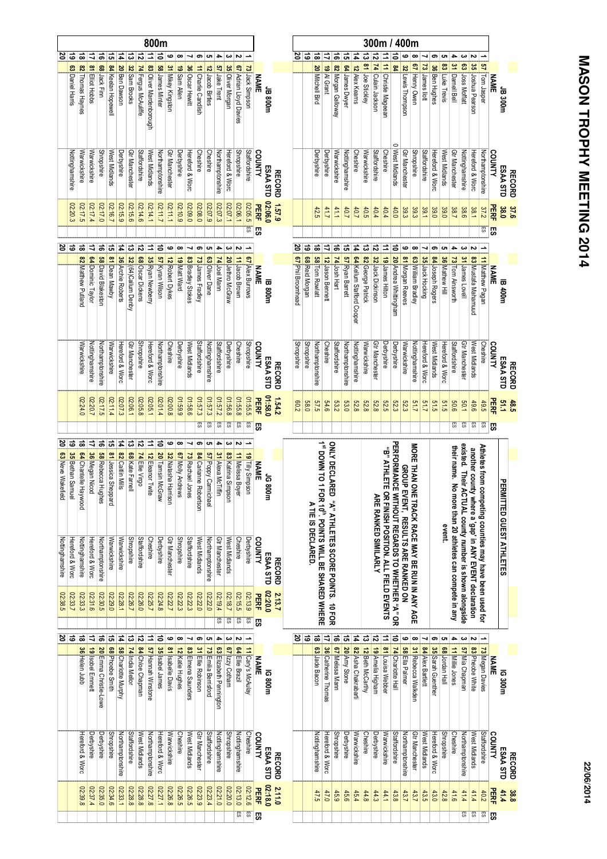|                                                        |                                                      |                                                          |                                                          |                                                               |                                             |                                                  |                                                              |                                      |                                       | 800m                                             |                                            |                                            |                                               |                                             |                                               |                                          |                                     |                              |                                       |                       |                              |               |                   |                   |                    |                                                                              |                                                 |                  |                           |                    |                             | 300m / 400m                          |                                   |                                     |                                            |                      |                   |                       |                                          |                                                        |                                                       |                                                         |             |                           |
|--------------------------------------------------------|------------------------------------------------------|----------------------------------------------------------|----------------------------------------------------------|---------------------------------------------------------------|---------------------------------------------|--------------------------------------------------|--------------------------------------------------------------|--------------------------------------|---------------------------------------|--------------------------------------------------|--------------------------------------------|--------------------------------------------|-----------------------------------------------|---------------------------------------------|-----------------------------------------------|------------------------------------------|-------------------------------------|------------------------------|---------------------------------------|-----------------------|------------------------------|---------------|-------------------|-------------------|--------------------|------------------------------------------------------------------------------|-------------------------------------------------|------------------|---------------------------|--------------------|-----------------------------|--------------------------------------|-----------------------------------|-------------------------------------|--------------------------------------------|----------------------|-------------------|-----------------------|------------------------------------------|--------------------------------------------------------|-------------------------------------------------------|---------------------------------------------------------|-------------|---------------------------|
| 2                                                      | ತ                                                    | ಹ                                                        | ⇉                                                        | ಕ                                                             | 유                                           | 14                                               | $\overline{c}$                                               | ನ                                    | ₿                                     | ਫੋ                                               | ڡ                                          | œ                                          |                                               | ၜ                                           | ပ                                             |                                          | دە                                  | Z                            |                                       |                       |                              |               |                   | 5 영               | ಹ                  | ₿                                                                            | ಕ                                               | 51               | t                         |                    | ನ                           |                                      | $\Rightarrow$                     | ဖ                                   | œ                                          |                      | ၜ                 | ပေ                    | ≏                                        | ω                                                      | ىم                                                    |                                                         |             |                           |
|                                                        | 63 Daniel Harris                                     | 82 Thomas Haynes                                         | 81 Elliot Hobbs                                          | <b>68</b> Jack Finn                                           | 84 Keelan Hopewell                          | 20 Ben Dawson                                    | 32 Sam Brooks                                                | 74 Fergus McAuliffe                  | 83 Oliver Mardenborough               | 58 James Minter                                  | 31 Mikey Kingston                          | 19 Sam Alen                                | 36 Oscar Hewitt                               | 11 Charlie Candlish                         | 12 Jacob Birtles                              | <b>57</b> Jake Trent                     | 35 Oliver Morgan                    | 67 Adrian Lloyd Davies       | 73 Jack Simpson                       | <b>NAME</b>           | <b>JB 800m</b>               |               |                   |                   | 20 Mitchell Bird   | 19 Al Grant                                                                  | 82 Morgan Galloway                              | 64 James Dwyer   | 12 Alex Kearns            | 13 81 Joe Stickley | 74 Culain Jackson           | 11 11 Christie Mageean               | P8                                | 32 Lewis Thompson                   | 67 Henry Owen                              | 73 James llott       | 36 Ben Hughes     | 83 Luke Trevis        | 31 Darnell Bell                          | 63 Joss Moffatt                                        | 35 Joshua Pearson                                     | 57 Tom Jasper                                           | <b>NAME</b> | JB 300m                   |
|                                                        | Nottinghamshire                                      | Warwickshire                                             | Warwickshire                                             | <b>Shropshire</b>                                             | West Midlands                               | Derbyshire                                       | Gtr Manchester                                               | Staffordshire                        | West Midlands                         | Northamptonshire                                 | Gtr Manchester                             | Derbyshire                                 | Hereford & Worc                               | Cheshire                                    | Cheshire                                      | Northamptonshire                         | Hereford & Worc                     | <b>Shropshire</b>            | Staffordshire                         | COUNTY                | ESAA STD                     | <b>RECORD</b> |                   |                   | Derbyshire         | Derbyshire                                                                   | Warwickshire                                    | Nottinghamshire  | <b>Cheshire</b>           | Warwickshire       | Staffordshire               | Cheshire                             | West Midlands                     | Gtr Manchester                      | <b>Shropshire</b>                          | <b>Staffordshire</b> | Hereford & Worc   | West Midlands         | Gtr Manchester                           | Nottinghamshire                                        | Hereford & Worc                                       | Northamptonshire                                        | COUNTY      | ESAA STD<br><b>RECORD</b> |
|                                                        | 02:20.3                                              | 02:17.5                                                  | 02:17.4                                                  | 02:17.0                                                       | 02:16.7                                     | 02:15.9                                          | 02:15.6                                                      | 02:14.6                              | 02:14.1                               | 711.70                                           | 02:11.1                                    | 02:10.9                                    | 02:09.0                                       | 02:08.0                                     | 02:07.9                                       | 02:07.3                                  | 02:07.1                             | 02:06.1                      | 02:05.5                               | <b>PERF</b>           | 02:06.0                      | 1.57.9        |                   |                   | 42.5               | 41.7                                                                         | 41.1                                            | 40.7             | 40.7                      | 40.5               | 40.4                        | 40.4                                 | 40.0                              | 39.3                                | 39.3                                       | 39.1                 | 39.0              | 39.0                  | 38.7                                     | 38.6                                                   | 38.1                                                  | 37.2                                                    | <b>PERF</b> | 37.6<br>38.0              |
|                                                        |                                                      |                                                          |                                                          |                                                               |                                             |                                                  |                                                              |                                      |                                       |                                                  |                                            |                                            |                                               |                                             |                                               |                                          |                                     |                              | ES                                    | 5S                    |                              |               |                   |                   |                    |                                                                              |                                                 |                  |                           |                    |                             |                                      |                                   |                                     |                                            |                      |                   |                       |                                          |                                                        |                                                       | 5S                                                      | ரு          |                           |
|                                                        | ಇ ಜ                                                  | ಹ                                                        | ⇉                                                        | ಕ                                                             | ದ                                           | 4                                                | ದ                                                            | $\vec{5}$                            | ∣≐                                    | る                                                | ဖ                                          | œ                                          | ┙                                             | ၜ                                           | ပေး                                           | 4                                        | دە                                  |                              |                                       |                       |                              |               | ర                 | ಹ                 | ಹ                  | ₹                                                                            | $\vec{a}$                                       | ದ                | $\overline{4}$            | ದ                  | に                           | ⇉                                    | ∣≂                                | ဖ                                   | œ                                          | ┙                    | თ                 | ပေ                    | 4                                        | دى                                                     | N                                                     |                                                         |             |                           |
|                                                        |                                                      | 82 Matthew Putland                                       | 64 Dominic Taylor                                        | 58 David Blakeston                                            | 81 Dean Mawby                               | 36 Archie Roberts                                | 32 (64)Callum Denby                                          | 68 Oscar Dickens                     | 35 Ryan Newberry                      | 57 Kyran Wilson                                  | 12 Robert Dykes                            | 19 Matt Ward                               | 83 Bradley Stokes                             | 73 James Fradley                            | 63 Oliver Dane                                | 74 Joel Mann                             | 20 Jethro McGraw                    | 11 Jacob Brown               | 67 Alex Burrows                       | <b>NAME</b>           | <b>IB 800m</b>               |               | 67 Phil Broomhead | 68 Reid Morgan    | 58 Tom Rowlatt     | 12 Jason Bennett                                                             | 74 Josh Hart                                    | 57 Ryan Barrett  | 64 Kellum Stafford Cooper | 82 George Patrick  | 32 Jack Dickinson           | 19 James Hilton                      | 20 Andrea Whittingham             | 81 Morgan Reeves                    | 63 William Bradley                         | 35 Jack Hocking      | 84 Joseph Rogers  | 36 Mathew Hill        | 73 Tom Ainsworth                         | 31 James Lovell                                        | 83 Mustafa Mahamuud                                   | 11 Matthew Pagan                                        | <b>NAME</b> | <b>IB 400m</b>            |
|                                                        |                                                      | Warwickshire                                             | Nottinghamshire                                          | Northamptonshire                                              | Warwickshire                                | Hereford & Worc                                  | Gtr Manchester                                               | <b>Shropshire</b>                    | Hereford & Worc                       | Northamptonshire                                 | Cheshire                                   | Derbyshire                                 | West Midlands                                 | Staffordshire                               | Nottinghamshire                               | Staffordshire                            | Derbyshire                          | <b>Cheshire</b>              | <b>Shropshire</b>                     | COUNTY                | ESAA STD                     | <b>RECORD</b> | Shropshire        | <b>Shropshire</b> | Northamptonshire   | Cheshire                                                                     | Staffordshire                                   | Northamptonshire | Nottinghamshire           | Warwickshire       | Gtr Manchester              | Derbyshire                           | Derbyshire                        | Warwickshire                        | Nottinghamshire                            | Hereford & Worc      | West Midlands     | Hereford & Worc       | Staffordshire                            | Gtr Manchester                                         | West Midlands                                         | <b>Cheshire</b>                                         | COUNTY      | ESAA STD<br><b>RECORD</b> |
|                                                        |                                                      | 02:24.0                                                  | 02:20.7                                                  | 02:17.5                                                       | 02:11.4                                     | 02:07.3                                          | 02:06.1                                                      | 8:05.8                               | 02:05.1                               | 42:01.4                                          | 8'00'20                                    | 01:59.9                                    | 01:58.6                                       | 01:57.3                                     | 01:57.3                                       | 2252.2                                   | 8'99:10                             | 8.55.0                       | 01:55.5                               | PERF                  | 01:58.0                      | 1.54.2        | $\overline{c}$ 09 | <b>58.0</b>       | 57.5               | 6.6                                                                          | 53.2                                            | 53.0             | 82.8                      | 823                | 823                         | 525                                  | <b>52.3</b>                       | 52.3                                | 51.7                                       | 51.7                 | 51.5              | 51.5                  | 909                                      | 50.1                                                   | 49.6                                                  | 49.5                                                    | PERF        | 48.5                      |
|                                                        |                                                      |                                                          |                                                          |                                                               |                                             |                                                  |                                                              |                                      |                                       |                                                  |                                            |                                            |                                               |                                             |                                               |                                          |                                     |                              |                                       |                       |                              |               |                   |                   |                    |                                                                              |                                                 |                  |                           |                    |                             |                                      |                                   |                                     |                                            |                      |                   |                       |                                          |                                                        |                                                       |                                                         |             |                           |
|                                                        |                                                      |                                                          |                                                          |                                                               |                                             |                                                  |                                                              |                                      |                                       |                                                  |                                            |                                            |                                               | 55                                          | 55                                            | 55                                       | 5                                   | S3                           | c,                                    | ஜ                     |                              |               |                   |                   |                    |                                                                              |                                                 |                  |                           |                    |                             |                                      |                                   |                                     |                                            |                      |                   |                       | 59                                       | 5                                                      | 5                                                     | 5                                                       | <b>S</b>    |                           |
| $\overline{0}$<br>63 Neve Wakefield<br>Nottinghamshire | $\frac{1}{6}$<br>35 Bethan Samuel<br>Hereford & Worc | $\frac{1}{8}$<br>64 Chantelle Haywood<br>Nottinghamshire | $\mathbf{r}$<br><b>36</b> Megan Nicod<br>Hereford & Worc | $\frac{1}{2}$<br><b>58 Rebecca Hughes</b><br>Northamptonshire | न्धि<br>81 Jessica Sheppard<br>Warwickshire | $\mathbf{r}$<br>82 Cattlin Mills<br>Warwickshire | $\frac{2}{3}$<br><b>68</b> Kate Farnell<br><b>Shropshire</b> | ≅<br>74 Ellie Virgo<br>Staffordshire | $\Xi$<br>12 Eleanor Twite<br>Cheshire | $\overline{5}$<br>20 Tamsin McGraw<br>Derbyshire | ڡ<br>32 Natasha Harrison<br>Gtr Manchester | œ<br>67 Molly Andrews<br><b>Shropshire</b> | ⊣<br>73 Rachael Jones<br><b>Staffordshire</b> | ග<br>84 Carianne Robertson<br>West Midlands | ပာ<br>57 Poppy Carmichael<br>Northamptonshire | 4<br>31 Alexa McTiffin<br>Gtr Manchester | 83 Katrina Simpson<br>West Midlands | 11 Melissa Boyer<br>Cheshire | <b>19 Tilly Simpson</b><br>Derbyshire | <b>NAME</b><br>COUNTY | <b>1G80</b><br>ğ<br>ESAA STD | <b>RECORD</b> |                   |                   | A TIE IS DECLARED. |                                                                              |                                                 |                  |                           |                    | <b>ARE RANKED SIMILARLY</b> | "B" ATHLETE                          | PERFORMANCE                       | GROUP                               | MORE THAN ON                               |                      |                   | event.                | their name. No                           |                                                        |                                                       |                                                         |             | PERMITTED GUEST ATHLETES  |
| 02:38.5                                                | 02:33.7                                              | 02:33.3                                                  | 02:31.6                                                  | 02:30.5                                                       | 02:29.0                                     | 02:28.1                                          | 02:26.7                                                      | 02:26.0                              | 02:25.7                               | 02:24.8                                          | 02:22.7                                    | 02:22.3                                    | 02:22.3                                       | 02:22.0                                     | 02:22.0                                       | 02:19.4<br>53                            | 02:18.7<br>ES                       | 02:15.5<br>S.                | 02:13.9<br>53                         | PERF<br>59            | 02:20.0                      | 2.13.7        |                   |                   |                    | 1 <sup>st</sup> DOWN TO 1 FOR 10 <sup>th</sup> . POINTS WILL BE SHARED WHERE | ONLY DECLARED "A" ATHLETES SCORE POINTS. 10 FOR |                  |                           |                    |                             | OR FINISH POSITION. ALL FIELD EVENTS | WITHOUT REGARDS TO WHETHER "A" OR | <b>EVENT, RESULTS ARE RANKED ON</b> | <b>IE TRACK RACE MAY BE RUN IN ANY AGE</b> |                      |                   |                       | more than 20 athletes can compete in any | existed. Their ACTUAL county number is shown alongside | another county where a 'gap' in ANY EVENT declaration | Athletes from competing counties may have been used for |             |                           |
|                                                        | $\frac{2}{5}$                                        | $\vec{a}$                                                | ₹                                                        | ಕ                                                             | <u>다</u>                                    | 4                                                | ದ                                                            | ನ                                    | ⇉                                     | ਫੋ                                               | ဖ                                          | œ                                          |                                               | ၜ                                           | ပာ                                            | 4                                        | ω                                   | N                            |                                       |                       |                              |               | <b>S</b>          | ತ                 | ಹ                  | ₹                                                                            | ಕ                                               | ದ                | 4                         | ದ                  | ನ                           | ⇉                                    | ਫ                                 | ဖ                                   | œ                                          |                      | თ                 | c                     | 4                                        | ယ                                                      |                                                       |                                                         |             |                           |
|                                                        |                                                      | 36 Helen Jubb                                            | 19   sobel Emmett                                        | 20 Emma Christie-Lowe                                         | <b>68</b> Phoebe Smith                      | <b>S8</b> Charlotte Murphy                       | 74 India Mellor                                              | 84 Chloe Chapman                     | 57 Hannah Winstone                    | 35 Isabel James                                  | 81   Isabelle Davis                        | 12 Katie Hughes                            | 83 Elmena Saunders                            | 31 Ellie Robinson                           | 73 Emilia Berrisford                          | 63 Elizabeth Pennington                  | 67   Izzy Cotham                    | 64 Ellie Brazil              | 11 Cary's McAulay                     | <b>NAME</b>           | <b>IG 800m</b>               |               |                   |                   | 63 Jade Bacon      | 36 Catherine Thomas                                                          | 67 Melissa Mann                                 | 20 Amy Stone     | 82 Asha Chakrabarti       | 12 Beth McCarthy   | 19 Amelia Higham            | 81 Louisa Webber                     | 74 Charlotte Hall                 | 58 Ella Palmer                      | 31 Rebecca Walkden                         | 84 Alex Bartlett     | 35 Sarah Guenther | <b>68</b> Jordan Hall | 11 Millie Jones                          | 57 Mia Chapman                                         | 83 Pheobe White                                       | 73 Megan Davies                                         | <b>NAME</b> | IG 300m                   |
|                                                        |                                                      | Hereford & Worc                                          | Derbyshire                                               | Derbyshire                                                    | <b>Shropshire</b>                           | Northamptonshire                                 | Staffordshire                                                | West Midlands                        | Northamptonshire                      | Hereford & Worc                                  | Warwickshire                               | Cheshire                                   | West Midlands                                 | Gtr Manchester                              | Staffordshire                                 | Nottinghamshire                          | <b>Shropshire</b>                   | Nottinghamshire              | Cheshire                              | COUNTY                | ESAA STD                     | <b>RECORD</b> |                   |                   | Nottinghamshire    | Hereford & Worc                                                              | <b>Shropshire</b>                               | Derbyshire       | Warwickshire              | Cheshire           | Derbyshire                  | Warwickshire                         | Staffordshire                     | Northamptonshire                    | Gtr Manchester                             | West Midlands        | Hereford & Worc   | <b>Shropshire</b>     | Cheshire                                 | Northamptonshire                                       | West Midlands                                         | Staffordshire                                           | COUNTY      | ESAA STD<br><b>RECORD</b> |
|                                                        |                                                      | 02:39.8                                                  | 02:37.4                                                  | 02:35.0                                                       | 02:34.6                                     | 02:33.1                                          | 02:28.8                                                      | 02:28.8                              | 02:27.8                               | 02:27.1                                          | 02:26.8                                    | 02:26.5                                    | 02:26.5                                       | 02:23.9                                     | 02:23.4                                       | 02:21.0                                  | 02:20.0                             | 02:13.0                      | 02:12.6                               | PERF                  | 02:18.0                      | 2.11.0        |                   |                   | 47.5               | 47.0                                                                         | 45.9                                            | 45.6             | 45.4                      | 44.8               | 44.3                        | 44.1                                 | 43.8                              | 43.7                                | 43.7                                       | 43.5                 | 43.0              | 42.8                  | 41.6                                     | 41.4                                                   | 41.4                                                  | 40.2                                                    | <b>HERE</b> | 41.4<br>38.8              |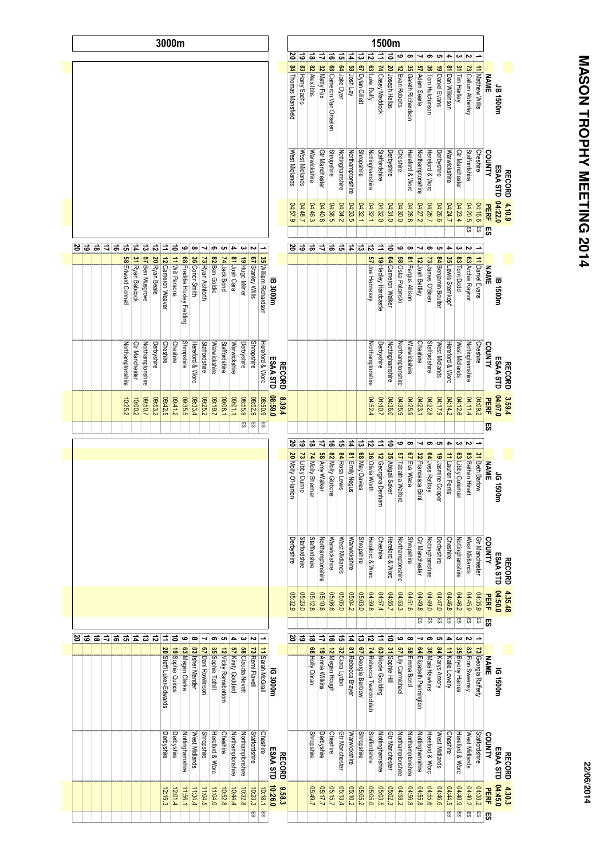| j      |
|--------|
| ľ      |
|        |
|        |
|        |
|        |
|        |
|        |
| I      |
|        |
|        |
|        |
|        |
|        |
|        |
|        |
|        |
|        |
|        |
|        |
|        |
|        |
|        |
|        |
|        |
|        |
|        |
|        |
| I<br>ï |
|        |
|        |
|        |
| I      |
| I      |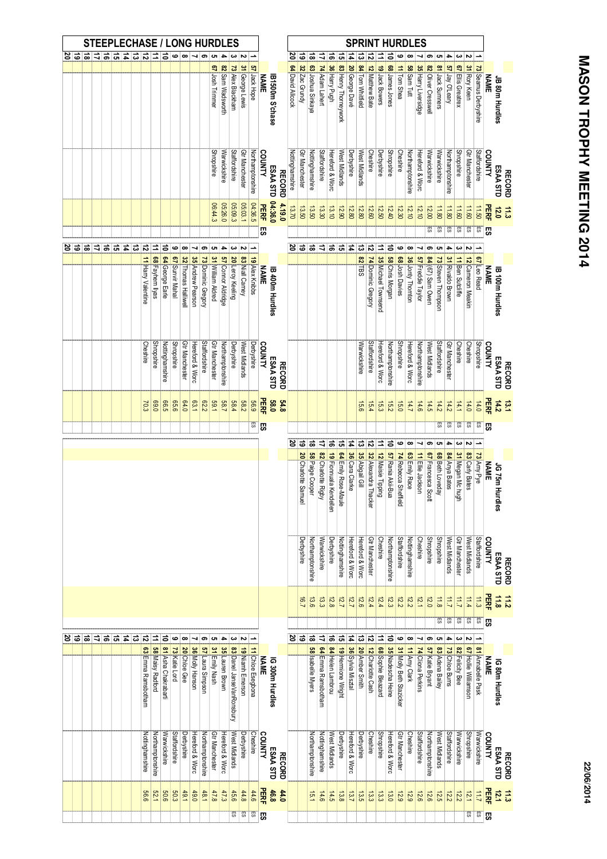|   |   |                |   |           |                |               |               |                    |                         | <b>STEEPLECHASE / LONG HURDLES</b> |                   |                     |                   |                    |                   |                    |                           |                  |                   |             |                        |               |                  |                        |                        |                      |                           |                        |                   |                  | <b>SPRINT HURDLES</b>   |                           |                        |                         |                   |                     |                     |                        |                  |                        |                      |                      |             |                           |
|---|---|----------------|---|-----------|----------------|---------------|---------------|--------------------|-------------------------|------------------------------------|-------------------|---------------------|-------------------|--------------------|-------------------|--------------------|---------------------------|------------------|-------------------|-------------|------------------------|---------------|------------------|------------------------|------------------------|----------------------|---------------------------|------------------------|-------------------|------------------|-------------------------|---------------------------|------------------------|-------------------------|-------------------|---------------------|---------------------|------------------------|------------------|------------------------|----------------------|----------------------|-------------|---------------------------|
| జ | ౚ | ಹ              | 青 | $\vec{a}$ | ದ              | 4             | ದ             | $\vec{v}$          | ⇉                       | る                                  | ဖ                 | $\infty$            |                   | 9                  | ပော               |                    |                           |                  |                   |             |                        |               | ౭                | ౚ                      | ಹ                      | ⇉                    | ಕ                         | ᇬ                      | Ħ,                | ದ                | ನ                       |                           |                        | ဖ                       |                   |                     | ග                   | ပာ                     | 4                | ယ                      | Z                    |                      |             |                           |
|   |   |                |   |           |                |               |               |                    |                         |                                    |                   |                     |                   |                    | 67 Josh Trimmer   | 82 Sam Wadsworth   | 73 Alex Blackham          | 31 George Lewis  | 57 Jack Hope      | <b>NAME</b> | IB1500m S'chase        |               | 64 David Allcock | 32 Zac Grundy          | 63 Joshua Sinkaya      | 74 Adam Lahert       | 36 Harry Pugh             | 83 Henry Thorneywork   | 20 George Davé    | 84 Tom Whitfield | 12 Matthew Bate         | 19 Jack Bowers            | <b>68</b> James Jones  | 11 Tom Shea             | 58 Sam Tutt       | 35 Harry Liversidge | 82 Oliver Cresswell | 81 Jack Sumners        | 57 Jay O'Leary   | 67 Ellis Greatrex      | 31 Rory Keen         | 73 Seamus Derbyshire | <b>NAME</b> | JB 80m Hurdles            |
|   |   |                |   |           |                |               |               |                    |                         |                                    |                   |                     |                   |                    | <b>Shropshire</b> | Warwickshire       | Staffordshire             | Gtr Manchester   | Northamptonshire  | COUNTY      | ESAA STD               | <b>RECORD</b> | Nottinghamshire  | Gtr Manchester         | Nottinghamshire        | <b>Staffordshire</b> | Hereford & Worc           | West Midlands          | Derbyshire        | West Midlands    | Cheshire                | Derbyshire                | <b>Shropshire</b>      | Cheshire                | Northamptonshire  | Hereford & Worc     | Warwickshire        | Warwickshire           | Northamptonshire | <b>Shropshire</b>      | Gtr Manchester       | Staffordshire        | COUNTY      | ESAA STD<br><b>RECORD</b> |
|   |   |                |   |           |                |               |               |                    |                         |                                    |                   |                     |                   |                    | 06:44.3           | 05:26.0            | 05:09.3                   | 05:03.1          | 04:36.5           | PERF<br>5S  | 04:36.0                | 4.19.0        | 13.70            | 13.50                  | 13.50                  | 13.30                | 13.10                     | 12.90                  | 12.80             | 12.80            | 12.60                   | 12.50                     | 12.40                  | 12.30                   | 12.10             | 12.10               | 12.00<br>ES         | 11.80<br>ES            | 11.80<br>S3      | 11.60<br>£S            | 11.60<br>S.          | 11.50<br><b>ES</b>   | PERF<br>55  | 12.0<br>11.3              |
| జ | ಕ | ಹ              |   | ∣ಸ∣ಕ      | ದ              | $\frac{1}{4}$ | $\frac{1}{3}$ | ನ                  | $\Rightarrow$           | $\vec{0}$                          | ڡ                 | œ                   | ↘                 | ၜ                  | c                 | 4                  | ω                         | Z                |                   |             |                        |               |                  | 5 영                    | ౹ౚ                     | z                    | ಹ                         | ದ                      | $\vert$ $\vec{a}$ | $\vec{\omega}$   | $\vec{v}$               | $\equiv$                  | $\Rightarrow$          | $\bullet$               | œ                 |                     | თ                   | ပ                      | 4                | ω                      | Z                    |                      |             |                           |
|   |   |                |   |           |                |               |               |                    |                         |                                    |                   |                     |                   |                    |                   |                    |                           |                  |                   |             |                        |               |                  |                        |                        |                      |                           |                        |                   | <b>82 TBS</b>    |                         |                           |                        |                         |                   |                     |                     |                        |                  |                        |                      |                      |             |                           |
|   |   |                |   |           |                |               |               | 11 Harry Valentine | <b>68</b> Fayhem llyas  | 64 George Earle                    | 67 Sunvir Mahal   | 32 Thomas Halliwell | 35 Andrew Pearson | 73 Dominic Gregory | 31 William Aldred | 57 Connor Aldridge | 20 Leroy Keeling          | 83 Niall Carney  | 19 Alex Knibbs    | <b>NAME</b> | <b>IB 400m Hurdles</b> |               |                  |                        |                        |                      |                           |                        |                   |                  | 74 Dominic Gregory      | 35 Michael Townsend       | <b>58</b> Chris Morgan | <b>68</b> Josh Davies   | 36 Jonty Thornton | 57 Freddie Taylor   | 84 (67) Sam Owen    | 73 Steven Thompson     | 31 Rivaldo Brown | 11 Ben Sutcliffe       | 12 Cameron Meakin    | 67 Leo Read          | <b>NAME</b> | <b>B</b> 100m Hurdles     |
|   |   |                |   |           |                |               |               | Cheshire           | <b>Shropshire</b>       | Nottinghamshire                    | <b>Shropshire</b> | Gtr Manchester      | Hereford & Worc   | Staffordshire      | Gtr Manchester    | Northamptonshire   | Derbyshire                | West Midlands    | Derbyshire        | COUNTY      | ESAA STD               | <b>RECORD</b> |                  |                        |                        |                      |                           |                        |                   | Warwickshire     | Staffordshire           | Hereford & Worc           | Northamptonshire       | <b>Shropshire</b>       | Hereford & Worc   | Northamptonshire    | West Midlands       | Staffordshire          | Gtr Manchester   | Cheshire               | Cheshire             | <b>Shropshire</b>    | COUNTY      | ESAA STD<br><b>RECORD</b> |
|   |   |                |   |           |                |               |               | 70.3               | 0.69                    | <b>G.5</b>                         | 939               | 64.0                | <b>63.1</b>       | E2.2               | 59.1              | <b>58.7</b>        | 58.4                      | <b>582</b>       | 639               | PERF        | 58.0                   | 54.8          |                  |                        |                        |                      |                           |                        |                   | 15.6             | 15.4                    | 15.3                      | 15.2                   | 15.0                    | 14.7              | 14.6                | 14.5                | 14.2                   | 14.2             | 14.1                   | 14.0                 | 14.0                 | PERF        | 14.2<br>13.1              |
|   |   |                |   |           |                |               |               |                    |                         |                                    |                   |                     |                   |                    |                   |                    |                           |                  | S)                | <b>S</b>    |                        |               |                  |                        |                        |                      |                           |                        |                   |                  |                         |                           |                        |                         |                   |                     |                     | 5                      | க                | 55                     | 59                   | SSI.                 | <b>S</b>    |                           |
|   |   |                |   |           |                |               |               |                    |                         |                                    |                   |                     |                   |                    |                   |                    |                           |                  |                   |             |                        |               | ៜ                | $\vec{5}$              | $\overline{5}$         | Ξ                    | $\frac{1}{5}$             | $\frac{1}{2}$          | $\frac{1}{4}$     | $\frac{1}{2}$    | $\vec{5}$               | Ξ                         | $\vec{a}$              | ဖ                       | œ                 | ⊣                   | ၜ                   | c                      | ٠                | ω                      | Z                    |                      |             |                           |
|   |   |                |   |           |                |               |               |                    |                         |                                    |                   |                     |                   |                    |                   |                    |                           |                  |                   |             |                        |               |                  | 20 Charlotte<br>Samuel | <b>S8</b> Paige Cooper | 82 Charlotte Rigby   | 19 Fionnuala<br>Kendellen | 64 Emily Rose-Maule    | 36 Cara Clarke    | 35 Abigail Gil   | 32 Alexandra<br>Thacker | 12 Maisie Tipping         | 57 Rania Akii-Bua      | 74 Rebecca Sheffield    | 63 Emily Race     | 11 Ellie Jackson    | 67 Francesca Scott  | <b>68</b> Beth Loveday | 84 Anya Bates    | 31 Megan Mc hugh       | 83 Carly Bates       | 73 Amy Pye           | <b>NAME</b> | JG 75m<br><b>Hurdles</b>  |
|   |   |                |   |           |                |               |               |                    |                         |                                    |                   |                     |                   |                    |                   |                    |                           |                  |                   |             |                        |               |                  | Derbyshire             | Northamptonshire       | Warwickshire         | Derbyshire                | <b>Nottinghamshire</b> | Hereford & Worc   | Hereford & Worc  | Gtr Manchester          | Cheshire                  | Northamptonshire       | Staffordshire           | Nottinghamshire   | Cheshire            | <b>Shropshire</b>   | <b>Shropshire</b>      | West Midlands    | Gtr Manchester         | West Midlands        | <b>Staffordshire</b> | COUNTY      | ESAA STD<br><b>RECORD</b> |
|   |   |                |   |           |                |               |               |                    |                         |                                    |                   |                     |                   |                    |                   |                    |                           |                  |                   |             |                        |               |                  | 16.7                   | 13.6                   | 13.3                 | 12.8                      | 127                    | 12.7              | 12.6             | 12.4                    | 12.4                      | 12.3                   | 12.2                    | 12.2              | 121                 | 12.0                | 11.8<br>S.             | 11.7<br>SS       | $\overline{11}$<br>ES. | 11.4<br>S.           | 11.3<br>ES           | PERF        | $rac{11}{25}$             |
| జ | ಕ | $\overline{a}$ | E | $\vec{a}$ | $\overline{5}$ | $\frac{1}{4}$ | $\frac{1}{2}$ | $\overline{5}$     | $\Rightarrow$           | $\Rightarrow$                      | ဖ                 | œ                   |                   | ග                  | c                 | 4                  | ယ                         |                  |                   |             |                        |               | ర                | $\vec{5}$              | $\overline{a}$         | ₹                    | ढ                         | $\frac{1}{2}$          | $\frac{1}{4}$     | ಪ                | $\frac{1}{2}$           | Ξ                         | $\Rightarrow$          | ဖ                       | œ                 |                     | ග                   |                        |                  |                        |                      |                      | <b>S</b>    |                           |
|   |   |                |   |           |                |               |               |                    |                         |                                    |                   |                     |                   |                    |                   |                    |                           |                  |                   |             |                        |               |                  |                        |                        |                      |                           |                        |                   |                  |                         |                           |                        |                         |                   |                     |                     |                        |                  |                        |                      |                      |             |                           |
|   |   |                |   |           |                |               |               | 63 Emma Ramsbotham | <b>58</b> Maisy Radford | 81 Asha Chakrabarti                | 73 Katie Lord     | 20 Chloe Gee        | 36 Molly Hanson   | 57 Laura Simpson   | 31 Emily Nash     | 35 Lauren Brown    | 83 Danel JanseVanRonsbury | 19 Niamh Emerson | 11 Chloe Esegbona | <b>NAME</b> | IG 300m Hurdles        |               |                  |                        | 58 Isabelle Myers      | 64 Emma Ramsbotham   | 84 Helen Lambrou          | 19 Hermione Wright     | 36 Sylvia Misztal | 20 Amber Smith   | 12 Charlotte Cash       | <b>68</b> Sophie Bleazard | 35 Nadescha Heine      | 31 Molly Beth Stazicker | 11 Amy Clark      | 74 Cliona Perkins   | 57 Katie Bryant     | 83 Adena Bailey        | 73 Chloe Burns   | 82 Felicity Bee        | 67 Hollie Williamson | 81 Annabelle Pask    | <b>NAME</b> | IG 80m Hurdles            |
|   |   |                |   |           |                |               |               | Nottinghamshire    | Northamptonshire        | Warwickshire                       | Staffordshire     | Derbyshire          | Hereford & Worc   | Northamptonshire   | Gtr Manchester    | Hereford & Worc    | West Midlands             | Derbyshire       | Cheshire          | COUNTY      | ESAA STD               | <b>RECORD</b> |                  |                        | Northamptonshire       | Nottinghamshire      | West Midlands             | Derbyshire             | Hereford & Worc   | Derbyshire       | Cheshire                | <b>Shropshire</b>         | Hereford & Worc        | Gtr Manchester          | Cheshire          | Staffordshire       | Northamptonshire    | West Midlands          | Staffordshire    | Warwickshire           | <b>Shropshire</b>    | Warwickshire         | COUNTY      | ESAA STD<br><b>RECORD</b> |
|   |   |                |   |           |                |               |               | 9.99               | 52.1                    | 90'6                               | 50.3              | 49.1                | 0.9.0             | $+8.1$             | 47.8              | 47.3               | 45.6                      | 44.8             | 44.6              | PERF        | 46.8                   | 44.0          |                  |                        | 15.1                   | 14.6                 | 14.5                      | 13.8                   | 13.7              | 13.5             | 13.3                    | 13.3                      | 13.0                   | 12.9                    | 12.9              | 12.6                | 12.6                | 12.5                   | 12.2             | 12.2                   | 12.1                 | $\frac{1}{11}$       | PERF        | 12.1<br>11.3              |
|   |   |                |   |           |                |               |               |                    |                         |                                    |                   |                     |                   |                    |                   |                    |                           |                  |                   |             |                        |               |                  |                        |                        |                      |                           |                        |                   |                  |                         |                           |                        |                         |                   |                     |                     |                        |                  |                        |                      |                      |             |                           |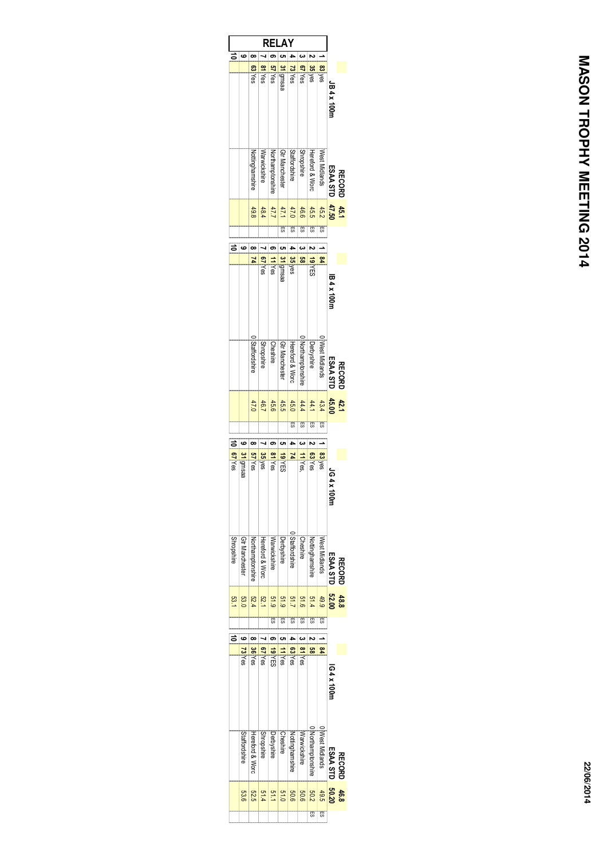|                   |                                  |                        | R                 | -1             | A                     |                                       |                           |                  |                     |                      |                 |
|-------------------|----------------------------------|------------------------|-------------------|----------------|-----------------------|---------------------------------------|---------------------------|------------------|---------------------|----------------------|-----------------|
| కే                | ဖ                                |                        |                   |                |                       |                                       |                           |                  |                     |                      |                 |
|                   |                                  | 63Yes                  | 81 Yes            | <b>S7Yes</b>   | 31 gmsaa              | 73Yes                                 | 67 Yes                    | 35 yes           | 83 yes              |                      |                 |
|                   |                                  |                        |                   |                |                       |                                       |                           |                  |                     |                      |                 |
|                   |                                  |                        |                   |                |                       |                                       |                           |                  |                     |                      |                 |
|                   |                                  |                        |                   |                |                       |                                       |                           |                  |                     | JB 4 x 100m          |                 |
|                   |                                  |                        |                   |                |                       |                                       |                           |                  |                     |                      |                 |
|                   |                                  |                        |                   |                |                       |                                       |                           |                  |                     |                      |                 |
|                   |                                  |                        |                   |                |                       |                                       |                           |                  |                     |                      |                 |
|                   |                                  |                        |                   |                |                       |                                       |                           |                  |                     |                      |                 |
|                   |                                  | <b>Nottinghamshire</b> | Warwickshire      | Vorthamptonshi | Gtr Manchester        | Staffordshire                         | <b>Shropshire</b>         | Hereford & Worc  | West Midlands       |                      |                 |
|                   |                                  |                        |                   |                |                       |                                       |                           |                  |                     | ESAA STI             |                 |
|                   |                                  |                        |                   |                |                       |                                       |                           |                  |                     |                      | <b>RECORL</b>   |
|                   |                                  |                        |                   |                |                       |                                       |                           |                  |                     |                      |                 |
|                   |                                  |                        |                   |                |                       |                                       |                           |                  |                     |                      |                 |
|                   |                                  | 49.8                   | 48.4              | 47.7           | 47.1                  | 47.0                                  | 46.6<br><b>Management</b> | 45.5             | 45.2                | 45.1<br>47.50        |                 |
|                   |                                  |                        |                   |                | ĒS                    | ES                                    | 司                         | 53               | ES                  |                      |                 |
|                   | ဖ                                | œ                      |                   | ග              | c                     |                                       | ယ                         |                  |                     |                      |                 |
|                   |                                  | 24                     |                   |                |                       |                                       | gg                        |                  | \$4                 |                      |                 |
|                   |                                  |                        | 67 Yes            | <b>T</b>       | 31 gmsaa              | 35 yes                                |                           | 19 YES           |                     |                      |                 |
|                   |                                  |                        |                   |                |                       |                                       |                           |                  |                     |                      |                 |
|                   |                                  |                        |                   |                |                       |                                       |                           |                  |                     |                      |                 |
|                   |                                  |                        |                   |                |                       |                                       |                           |                  |                     | IB 4 x 100n          |                 |
|                   |                                  |                        |                   |                |                       |                                       |                           |                  |                     |                      |                 |
|                   |                                  |                        |                   |                |                       |                                       |                           |                  |                     |                      |                 |
|                   |                                  |                        |                   |                |                       |                                       |                           |                  |                     |                      |                 |
|                   |                                  | Staffordshire          |                   |                |                       | 0 Northamptonshire<br>Hereford & Worc |                           |                  | West Midlands       |                      |                 |
|                   |                                  |                        | <b>Shropshire</b> | Cheshire       | <b>Gtr Manchester</b> |                                       |                           | Derbyshire       |                     |                      |                 |
|                   |                                  |                        |                   |                |                       |                                       |                           |                  |                     |                      |                 |
|                   |                                  |                        |                   |                |                       |                                       |                           |                  |                     | ESAA STI             | <b>RECORI</b>   |
|                   |                                  |                        |                   |                |                       |                                       |                           |                  |                     |                      |                 |
|                   |                                  |                        |                   |                |                       |                                       |                           |                  |                     |                      |                 |
|                   |                                  | 47.0                   | 46.7              | 45.6           | 45.5                  | 45.0                                  | 44.4                      |                  | $\frac{43.4}{44.1}$ | $\frac{42.1}{45.00}$ |                 |
|                   |                                  |                        |                   |                |                       | 53                                    | एउ                        | 59               | 59                  |                      |                 |
|                   | ဖ                                | ∞                      |                   | ග              | ပာ                    | 4                                     | $\ddot{\phantom{0}}$      |                  |                     |                      |                 |
|                   |                                  |                        |                   |                |                       |                                       |                           |                  |                     |                      |                 |
| <b>b/ Yes</b>     | 31 Igmsaa                        | <b>S7 Yes</b>          | 35 yes            | 81 Yes         | 19 YES                | z                                     | TYes,                     | 63Yes            | 83 yes              |                      |                 |
|                   |                                  |                        |                   |                |                       |                                       |                           |                  |                     |                      |                 |
|                   |                                  |                        |                   |                |                       |                                       |                           |                  |                     | 164x                 |                 |
|                   |                                  |                        |                   |                |                       |                                       |                           |                  |                     | <b>DOIN</b>          |                 |
|                   |                                  |                        |                   |                |                       |                                       |                           |                  |                     |                      |                 |
|                   |                                  |                        |                   |                |                       |                                       |                           |                  |                     |                      |                 |
|                   |                                  |                        |                   |                |                       |                                       |                           |                  |                     |                      |                 |
|                   |                                  |                        |                   |                |                       | JStaffordshire                        |                           |                  |                     |                      |                 |
| <b>Shropshire</b> | <b>Gtr Manchester</b>            | Northamptonshire       | Hereford & Worc   | Warwickshire   | Derbyshire            |                                       | Cheshire                  | Nottinghamshire  | West Midlands       |                      |                 |
|                   |                                  |                        |                   |                |                       |                                       |                           |                  |                     |                      |                 |
|                   |                                  |                        |                   |                |                       |                                       |                           |                  |                     | ESAA STL             | <b>RECORL</b>   |
|                   |                                  |                        |                   |                |                       |                                       |                           |                  |                     |                      |                 |
|                   |                                  |                        |                   |                |                       |                                       |                           |                  |                     |                      |                 |
| 53.1              |                                  | $\frac{52.4}{53.0}$    | 52.1              | 619            | 51.9                  | 51.7                                  | 919                       | 51.4             | 49.9                |                      | $48.8$<br>52.00 |
|                   |                                  |                        |                   | ES             | ES                    | 踢                                     | ES                        | 53               | ES.                 |                      |                 |
|                   |                                  |                        |                   |                |                       |                                       |                           |                  |                     |                      |                 |
|                   |                                  |                        |                   |                |                       |                                       |                           | S3               |                     |                      |                 |
|                   |                                  |                        |                   |                |                       | 63 Yes                                | 81 Yes                    |                  | ጄ                   |                      |                 |
|                   |                                  |                        |                   |                |                       |                                       |                           |                  |                     |                      |                 |
|                   | 73 Yes                           | 36 Yes                 | 67 Yes            | <b>19 YES</b>  | <b>I1</b><br>Yes      |                                       |                           |                  |                     |                      |                 |
|                   |                                  |                        |                   |                |                       |                                       |                           |                  |                     |                      |                 |
|                   |                                  |                        |                   |                |                       |                                       |                           |                  |                     |                      |                 |
|                   |                                  |                        |                   |                |                       |                                       |                           |                  |                     | IG4 x 100r           |                 |
|                   |                                  |                        |                   |                |                       |                                       |                           |                  |                     |                      |                 |
|                   |                                  |                        |                   |                |                       |                                       |                           |                  |                     |                      |                 |
| ぉ                 |                                  |                        |                   |                |                       |                                       |                           |                  |                     |                      |                 |
|                   |                                  |                        |                   |                |                       |                                       |                           |                  |                     |                      |                 |
|                   |                                  |                        |                   |                | Cheshire              |                                       |                           |                  |                     |                      |                 |
|                   |                                  |                        | <b>Shropshire</b> | Derbyshire     |                       |                                       | Warwickshire              |                  |                     |                      |                 |
|                   | Hereford & Worc<br>Staffordshire |                        |                   |                |                       | Nottinghamshire                       |                           | Northamptonshire | West Midlands       | ESAA STL             | <b>RECORD</b>   |
|                   |                                  |                        |                   |                |                       |                                       |                           |                  |                     |                      |                 |
|                   |                                  | 82.6<br>8.6            |                   |                |                       |                                       |                           | 49.5<br>50.2     |                     | 46.8<br>50.20        |                 |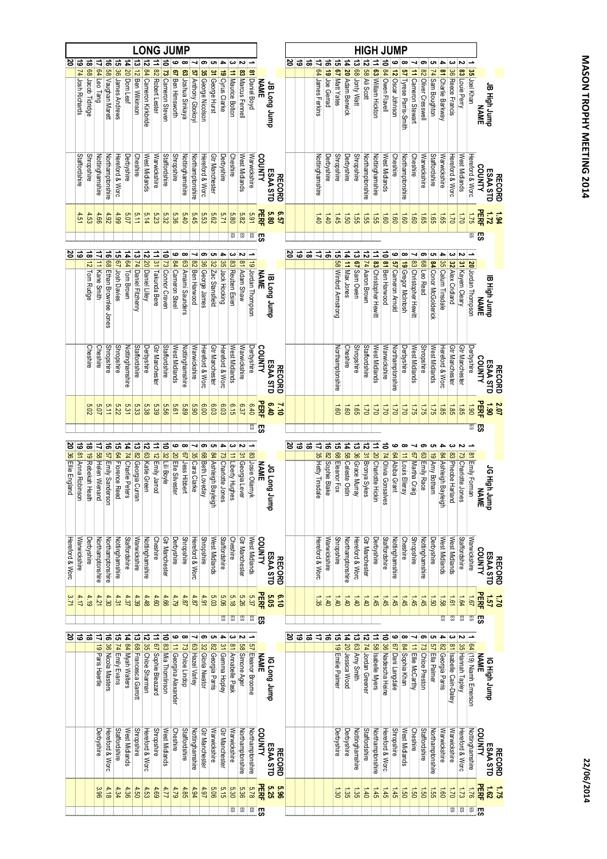|                     |                     |                     |                     |                         |                                  |                      |                         |                         |                       |                       | <b>LONG JUMP</b>      |                      |                   |                        |                       |                      |                     |                  |                       |                 |                |               |    |     |           |                             |                    |                             |                              |                    | <b>HIGH JUMP</b>     |                                   |                        |                          |                        |                       |                     |                      |                     |                         |                       |                       |                      |                           |               |
|---------------------|---------------------|---------------------|---------------------|-------------------------|----------------------------------|----------------------|-------------------------|-------------------------|-----------------------|-----------------------|-----------------------|----------------------|-------------------|------------------------|-----------------------|----------------------|---------------------|------------------|-----------------------|-----------------|----------------|---------------|----|-----|-----------|-----------------------------|--------------------|-----------------------------|------------------------------|--------------------|----------------------|-----------------------------------|------------------------|--------------------------|------------------------|-----------------------|---------------------|----------------------|---------------------|-------------------------|-----------------------|-----------------------|----------------------|---------------------------|---------------|
| ర                   | $\vec{5}$           | $\vec{a}$           | ⇉                   | ಕ                       | <u>다</u>                         |                      |                         |                         |                       |                       | ဖ                     |                      |                   | ග                      | ပာ                    | ≏                    | ယ                   |                  |                       |                 |                |               | జ  | ಕ   | $\vec{ }$ | ₿                           | $\vec{e}$          | ີ ຕ                         |                              |                    |                      |                                   |                        | م                        | $\infty$               |                       | ග                   |                      | ≏                   | ယ                       | Z                     |                       |                      |                           |               |
|                     | 74 Josh Richards    | 88 Jacob Tidridge   | 64 Leo Tang         | 58 Vaughan Marett       | 36 James Andrews                 | 14 20 Dom Leaf       | 13 12 Ben Wilkinson     | 12 84 Cameron Kirkbride | 11 82 Robert Lester   | 10 73 Cameron Steven  | 67 Ben Himsworth      | 63 Joshua Sinkaya    | 57 Anthony Gbokoy | 35 George Nicolson     | 31 George Hurst       | 19 Cyrus Clarke      | 11 Maurice Bolton   | 83 Marcus Fennel | <b>81</b> Daniel Boyd | <b>NAME</b>     | duunr buo gr   |               |    |     |           | 64 James Ferkins            | 19 Joe Gerrad      | 67 Matt Yates               | 14 20 Adam Berwick           | 13 68 Jonty Watt   | 12 58 Ali Scott      | 11 63 William Hickton             | 10 84 Owen Flavell     | 12 Oscar Johnson         | 57 Tyrese Parris-Smith | 11 Cameron Stewart    | 82 Oliver Cresswell | 74 Sam Boughton      | 81 Charlie Barkway  | 36 Reece Francis        | 83 Louie Perry        | 35 Joel Khan          |                      | 3MYN<br>dunr 46!H 8r      |               |
|                     | Staffordshire       | <b>Shropshire</b>   | Nottinghamshire     | Northamptonshire        | Hereford & Worc                  | Derbyshire           | Cheshire                | West Midlands           | Warwickshire          | Staffordshire         | <b>Shropshire</b>     | Nottinghamshire      | Northamptonshire  | Hereford & Worc        | <b>Gtr Manchester</b> | Derbyshire           | Cheshire            | West Midlands    | Narwickshire          | COUNTY          | ESAA STD       | <b>RECORD</b> |    |     |           | Nottinghamshire             | Derbyshire         | <b>Shropshire</b>           | Derbyshire                   | <b>Shropshire</b>  | Northamptonshire     | Nottinghamshire                   | West Midlands          | Cheshire                 | Northamptonshire       | Cheshire              | Warwickshire        | Staffordshire        | Warwickshire        | Hereford & Worc         | West Midlands         | Hereford & Worc       | <b>COUNTY</b>        | ESAA STD<br><b>RECORD</b> |               |
|                     | 4.51                | 4.53                | 4.66                | 4.92                    | 4.99                             | 5.07                 | 5.11                    |                         | $\frac{5.23}{5.14}$   | 5.32                  | 5.36                  | 5.40                 | 5.45              | 5.53                   | 2.62                  | 5.71                 | 089                 | 5.82             | 5.91                  | 모터              | 5.80           | <b>JS:9</b>   |    |     |           | $0+1$                       | $0+1$              | $3 + 1$                     | 1.50                         | 1.55               | 1.55                 | <b>1.55</b>                       | 091                    | 1.60                     | 1.60                   | $\frac{1.60}{2}$      | $\frac{1.65}{2}$    |                      | $\frac{15}{95}$     | 021                     | 021                   | 521                   | 屈                    | 1.72                      |               |
|                     |                     |                     |                     |                         |                                  |                      |                         |                         |                       |                       |                       |                      |                   |                        |                       |                      | 59                  | 5                | S.                    | 53              |                |               |    |     |           |                             |                    |                             |                              |                    |                      |                                   |                        |                          |                        |                       |                     |                      |                     |                         |                       | ள                     | க                    |                           |               |
| 8' ಪ                |                     |                     |                     | ಕ                       | ದ                                |                      |                         | は                       |                       |                       | ڡ                     | œ                    | ┙                 | თ                      | ပာ                    | 4                    | ယ                   |                  |                       |                 |                |               |    | ತ∣≊ | ಹ         | $\Rightarrow$ $\Rightarrow$ |                    | ់ឆ                          |                              |                    |                      |                                   |                        | ڡ                        | ∞                      | ⊣                     | ග                   | ပာ                   | 4                   |                         |                       |                       |                      |                           |               |
|                     |                     | 18 12 Tom Rudge     | 17 11 Kane Smith    | 68 Ethan Brownlee Jones | <b>67</b> Josh Davies            | 14 64 Tom Brown      | 13 74 Daniel Fitzhenry  | 20 Daniel Lilley        | 11 31 Takunda Bere    | 10 73 Connor Craven   | 84 Cameron Steel      | 63 Amarni Saunders   | 82 Ben Harwood    | 36 George James        | 32 Zac Stansfield     | 35 Jack Hocking      | 83 Reuben Esien     | 81 Adam Shaw     | 19 Jordan Thompson    | <b>NAME</b>     | aunr buon<br>B |               |    |     |           |                             |                    | <b>58 Winford Armstrong</b> | 14 11 Max Jones              | 13 67 Sam Owen     | 12 74 Aaron Brown    | 11 83 Christopher Hewitt          | 10 81 Ben Harwood      | <b>57</b> Cameron Arnold | 19 Gregor McIntosh     | 83 Christopher Hewitt | 68 Leo Read         | 84 Conor McGolderick | 35 Calum Tinsdale   | 32 Alex Cridland        | 31 Kayem Cleary       | 20 Jordan Thompson    | <b>NAME</b>          | la High Jump              |               |
|                     |                     | Cheshire            | Cheshire            | <b>Shropshire</b>       | <b>Shropshire</b>                | Nottinghamshire      | Staffordshire           | Derbyshire              | <b>Gtr Manchester</b> | <b>Staffordshire</b>  | West Midlands         | Nottinghamshire      | Warwickshire      | Hereford & Worc        | Gtr Manchester        | Hereford & Worc      | West Midlands       | Warwickshire     | Derbyshire            | COUNTY          | ESAA STD       | <b>RECORD</b> |    |     |           |                             |                    | Northamptonshire            | Cheshire                     | <b>Shropshire</b>  | Staffordshire        | West Midlands                     | Warwickshire           | Northamptonshire         | Derbyshire             | West Midlands         | <b>Shropshire</b>   | West Midlands        | Hereford & Worc     | <b>Gtr Manchester</b>   | <b>Gtr Manchester</b> | Derbyshire            | COUNTY               | ESAA STD<br><b>RECORD</b> |               |
|                     |                     | 5.02                | 5.07                | 5.11                    | 5.22                             | 5.31                 | 5.33                    | 5.38                    | $\frac{5.8}{8.8}$     |                       | 19'9                  | 68'9                 | 06'9              | $\frac{6.00}{2}$       | 6.03                  | 6.03                 | 9.15                | <b>6.37</b>      | $0+9$                 | 몶               | 0.40           | 01'2          |    |     |           |                             |                    | $\mathbf{60}$               | <b>ig</b>                    | $\overline{39}$    | $\overline{Q}$       | $\overline{a}$                    | $\overline{a}$         | $02^{\degree}$           | $\overline{u}$         | $\overline{35}$       | $\overline{51}$     |                      | $\frac{1.85}{25}$   | $\frac{1.85}{2}$        | 1.85                  | 061                   | <b>PERF</b>          | 061<br>2.07               |               |
|                     |                     |                     |                     |                         |                                  |                      |                         |                         |                       |                       |                       |                      |                   |                        |                       |                      |                     |                  |                       | <u>ិិ</u><br>នា |                |               |    |     |           |                             |                    |                             |                              |                    |                      |                                   |                        |                          |                        |                       |                     |                      |                     |                         |                       | ள                     | <b>一切</b>            |                           |               |
|                     |                     |                     |                     |                         |                                  |                      |                         |                         |                       |                       | م                     | $\infty$             | ⊣                 | ග                      | C)                    | 4                    | ယ                   |                  |                       |                 |                |               | 20 | ತ   | ివ        |                             |                    |                             |                              |                    |                      |                                   |                        | ဖ                        |                        |                       |                     |                      |                     |                         |                       |                       |                      |                           |               |
| 20 36 Ellie England | 19 81 Anna Robinson | 18 19 Rebekah Heath | 17 58 Helen Wienand | 16 57 Emily Sanderson   | 15 <mark>64</mark> Florence Reed | 14 74 Charlie Peters | 13 82 Georgia Curran    | 12 63 Katie Green       | 11 12 Emily Jarrod    | 10 32 Lili Boyle      | 20 Elle Silvester     | 67 Jess Hibbert      | 35 Cara Clarke    | <b>68 Beth Loveday</b> | 84 Ashleigh Bayleig   | 73 Charlotte Jones   | T1   Liberty Hughes | 31 Georgia Lever | 83 Josie Oliamyk      | <b>NAME</b>     | JG Long Jump   |               |    |     |           | 17 35 Hetty Tinsdale        | 16 82 Sophie Blake | 15 68 Eleanor Fox           | 14 58 Celeste Ostin          | 13 36 Grace Murray | 12 31 Bronya Sykes   | 11 20 Charlotte Hickin            | 10 74 Olivia Gonsalves | 64 Abiba Grant           | 11 Louis Elleray       | 67 Martha Craig       | 63 Emily Race       | 19 Amy Botham        | 84 Ashleigh Bayleig | 83 Pheobe Harland       | 73 Charlotte Jones    | 81 Emily Forman       |                      | <b>ENTAN</b><br>dunrySh   |               |
| Hereford & Worc     | Warwickshire        | Derbyshire          | Northamptonshire    | Northamptonshire        | Nottinghamshire                  | <b>Staffordshire</b> | Warwickshire            | Nottinghamshire         | <b>Cheshire</b>       | <b>Gtr Manchester</b> | Derbyshire            | <b>Shropshire</b>    | Hereford & Worc   | <b>Shropshire</b>      | West Midlands         | <b>Staffordshire</b> | Cheshire            | Gtr Manchester   | West Midlands         | COUNTY          | ESAA STD       | <b>RECORD</b> |    |     |           | Hereford & Worc             | Warwickshire       | <b>Shropshire</b>           | Northamptonshire             | Hereford & Worc    | Gtr Manchester       | Derbyshire                        | Staffordshire          | <b>Nottinghamshire</b>   | <b>Cheshire</b>        | <b>Shropshire</b>     | Nottinghamshire     | Derbyshire           | West Midlands       | West Midlands           | Staffordshire         | Warwickshire          | COUNTY               | ESAA STD<br><b>RECORD</b> |               |
| 3.71                | 4.17                | 4.19                | 4.21                | 4.30                    | 4.31                             | 4.37                 | 4.39                    | 4.48                    | $\frac{4.60}{2}$      | 4.66                  | 62.7                  | 4.87                 | 4.87              | 4.91                   | 5.03                  | <b>5.06</b>          | 5.18                | <b>5.26</b>      | 5.37                  | PERF            | 5.05           | 0.19          |    |     |           | $\overline{35}$             | $\overline{5}$     | $\overline{140}$            | $\ddot{\boldsymbol{\sigma}}$ | $-40$              | $0\not\vdash$        | 1.45                              | 1.45                   | $-1.45$                  | $\frac{1.45}{2}$       | 1.45                  | 1.45                | $\frac{1}{20}$       |                     | $\overline{1.61}$       | 1.64                  | 1.67                  | <b>PERF</b>          | $\tilde{u}$<br><u>تا</u>  |               |
|                     |                     |                     |                     |                         |                                  |                      |                         |                         |                       |                       |                       |                      |                   |                        |                       | 5                    | S3                  | $\overline{5}$   | $\frac{1}{2}$         | ြက္တ            |                |               |    |     |           |                             |                    |                             |                              |                    |                      |                                   |                        |                          |                        |                       |                     |                      | S.                  | $\overline{\mathbb{E}}$ | S.                    | $\overline{5}$        | '罚                   |                           |               |
| ర                   | ಕ                   | ವ                   | $\Rightarrow$       | ಹ                       | ज                                |                      |                         |                         |                       |                       |                       |                      |                   |                        |                       |                      |                     |                  |                       |                 |                |               | 2  | ಹ ಹ |           | ₹                           | ವ                  |                             |                              |                    |                      |                                   |                        | ဖ                        | ∞                      |                       | ග                   |                      |                     |                         |                       |                       |                      |                           |               |
|                     |                     |                     | 19 Paris Haertle    | 36 Nicola Masters       | 74 Emily Evans                   | 14 84 Myah Walters   | 13 68 Francesca Garrott | 12 35 Chloe Sharman     | 11 67 Sophie Bleazard | 10 83 Mia Thomlinson  | 11 Georgina Alexander | 73 Chloe Lindop      | 63 Hazel Varley   | 32 Gloria Nwator       | 82 Georgia Parris     | 31 Gemma Hopley      | 81 Annabelle Pask   | 58 Simone Ager   | 57 Eleanor Broome     | <b>NAME</b>     | dunr buon 91   |               |    |     |           |                             |                    | 15 19 Emilie Palmer         | <b>4 20</b> Jessica Wood     | 13 63 Amy Smith    | 12 74 Jordan Greener | 11 <mark>58</mark> Isabelle Myers | 10 36 Nadescha Heine   | 67 Dani Langdale         | 84 Sophia Khan         | 11 Ellie McCarthy     | 73 Chloe Preston    | 57 Ella Palmer       | 82 Georgia Parris   | 81 Isabelle Cain-Daley  | 35 Hannah Tapley      | 64 (19) Niamh Emerson | IG High Jump<br>NAME |                           |               |
|                     |                     |                     | Derbyshire          | Hereford & Worc         | <b>Staffordshire</b>             | West Midlands        | <b>Shropshire</b>       | Hereford & Worc         | <b>Shropshire</b>     | West Midlands         | Cheshire              | <b>Staffordshire</b> | Nottinghamshire   | Gtr Manchester         | Warwickshire          | Gtr Manchester       | Warwickshire        | Northamptonshire | Northamptonshire      | COUNTY          | ESAA STD       | <b>RECORD</b> |    |     |           |                             |                    | Derbyshire                  | Derbyshire                   | Nottinghamshire    | Staffordshire        | Northamptonshire                  | Hereford & Worc        | <b>Shropshire</b>        | West Midlands          | <b>Cheshire</b>       | Staffordshire       | Northamptonshire     | Warwickshire        | Narwickshire            | Hereford & Worc       | Nottinghamshire       | <b>COUNTY</b>        | ESAA STD                  | <b>RECORD</b> |
|                     |                     |                     | 396                 | 4.18                    | 4.34                             | 4.36                 | 4.50                    | 4.53                    | $\frac{4.69}{2}$      | 117                   | 4.79                  | 4.85                 | 4.94              | $16.4$                 | 90'9                  | 5.15                 | <b>5.30</b>         | 5.36             | 87.8                  | <b>PERF</b>     | 525            | <b>96°</b>    |    |     |           |                             |                    | 1.30                        | 1.35                         | 1.35               | $\overline{5}$       | $\frac{1}{2}$                     | 1.45                   | 1.45                     | $\overline{0}$         | $\overline{0}$        | $\overline{0}$      | 1.55                 | $\overline{181}$    | 021                     | 22                    | $92^{\degree}$        | <b>HERE</b>          | 1.52                      |               |
|                     |                     |                     |                     |                         |                                  |                      |                         |                         |                       |                       |                       |                      |                   |                        |                       |                      | 5                   | 贾                |                       | <u>ក្ខ ក្ន</u>  |                |               |    |     |           |                             |                    |                             |                              |                    |                      |                                   |                        |                          |                        |                       |                     |                      |                     | $\overline{\mathbb{E}}$ | 哥                     |                       | <u>ក្ខា</u>          |                           |               |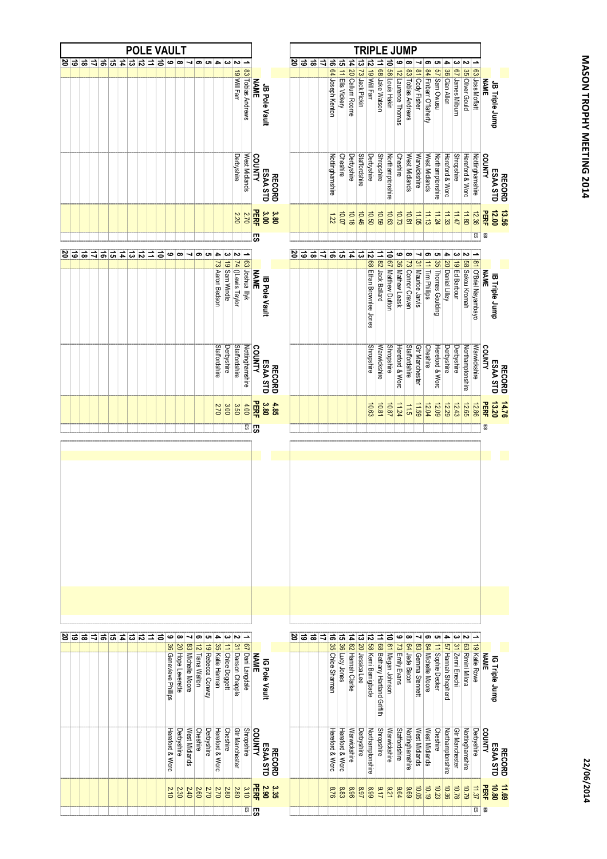|             |   |                             |   |           |               |               | <b>POLE VAULT</b> |               |                           |                        |                   |                      |                         |                      |                       |                         |                                 |             |                      |               |   |     |               |               |                     |                    |                     |                                | <b>TRIPLE JUMP</b>         |                                  |                      |                     |                       |                       |                        |                           |                         |                      |                       |                                  |                      |                        |               |
|-------------|---|-----------------------------|---|-----------|---------------|---------------|-------------------|---------------|---------------------------|------------------------|-------------------|----------------------|-------------------------|----------------------|-----------------------|-------------------------|---------------------------------|-------------|----------------------|---------------|---|-----|---------------|---------------|---------------------|--------------------|---------------------|--------------------------------|----------------------------|----------------------------------|----------------------|---------------------|-----------------------|-----------------------|------------------------|---------------------------|-------------------------|----------------------|-----------------------|----------------------------------|----------------------|------------------------|---------------|
| $rac{2}{5}$ | ಹ | $\Rightarrow$ $\Rightarrow$ |   | ದ         | $\frac{1}{4}$ | $\frac{1}{2}$ | $\overline{1}$    | 01            | $\bullet$                 | ∞                      |                   | თ                    | C1                      | i d                  | ယ                     | N                       |                                 |             |                      |               |   | ಠ ಜ | ಹ             | $\Rightarrow$ |                     |                    |                     |                                |                            |                                  |                      | ڡ                   |                       |                       | ග                      | ပေး                       | 4                       | دى                   | N                     |                                  |                      |                        |               |
|             |   |                             |   |           |               |               |                   |               |                           |                        |                   |                      |                         |                      |                       | 19 Will Farr            | 83 Tobias Andrews               | <b>NAME</b> | JB Pole Vault        |               |   |     |               |               | 16 64 Joseph Kenton | 15 11 Elis Vickery | 14 20 Callum Roome  | 13 <mark>73</mark> Jack Pickin | 12 19 Will Farr            | 11 68 Jake Watson                | 10 58 Louis Hakin    | 12 Laurence Thomas  | 83 Tobias Andrews     | 81 Cody Fisher        | 84 Finbarr O'flaherty  | 57 Sam Owusu              | 36 Cian Allen           | somes Milburn        | 35 Oliver Gould       | 63 Joss Moffatt                  | <b>NAME</b>          | JB Triple Jump         |               |
|             |   |                             |   |           |               |               |                   |               |                           |                        |                   |                      |                         |                      |                       | Derbyshire              | West Midlands                   | COUNTY      | ESAA STD             | <b>RECORD</b> |   |     |               |               | Nottinghamshire     | <b>Cheshire</b>    | Derbyshire          | Staffordshire                  | Derbyshire                 | <b>Shropshire</b>                | Northamptonshire     | Cheshire            | West Midlands         | Warwickshire          | West Midlands          | Northamptonshire          | Hereford & Worc         | <b>Shropshire</b>    | Hereford & Worc       | Nottinghamshire                  | COUNTY               | ESAA STD               | <b>RECORD</b> |
|             |   |                             |   |           |               |               |                   |               |                           |                        |                   |                      |                         |                      |                       | 2.20                    | 2.70                            | <b>PERF</b> | 3.00                 | 3.80          |   |     |               |               | 1.22                | 10.07              | 10.18               | 10.46                          | 10.50                      | 10.59                            | 10.63                | 10.73               | 10.81                 | 11.05                 | 11.13                  | 11.24                     | 11.33                   | 2511                 | 11.80                 | 12.36                            | PERF                 | $\frac{13.56}{12.00}$  |               |
|             |   |                             |   |           |               |               |                   |               |                           |                        |                   |                      |                         |                      |                       |                         |                                 | 5S          |                      |               |   |     |               |               |                     |                    |                     |                                |                            |                                  |                      |                     |                       |                       |                        |                           |                         |                      |                       | $\mathbb{E}$                     | S3                   |                        |               |
| 5 2         |   | $\Rightarrow$ $\Rightarrow$ | ಕ | $\vec{a}$ | $\sharp$      | $\frac{1}{2}$ | ∣⇒                | ∣੩            | ဖ                         | $\infty$               | ┙                 | ၜ                    | C)                      | 4<br>73 Aaron Bedson | ယ<br>19 Sam Windle    | <b>74</b> 0Lewis Taylor | 63. Joshua Illyk                | <b>NAME</b> | <b>B</b> Pole Vault  |               | 2 | 'ಹ  | $\frac{1}{2}$ | ₹             | ಹೆ ದೆ               |                    | $\vec{a}$           | ದ                              | 12 68 Ethan Brownlee Jones | 11 82 Jack Ballard               | 10 67 Matthew Dutton | 9 36 Mathew Leask   | œ<br>73 Connor Craven | 31 Maurice Jarvis     | ၜ<br>11 Tim Phillips   | ပေး<br>35 Thomas Goulding | 4<br>20 Daniel Lilley   | دە<br>19 Ed Barbour  | S8 Sekou Kromah       | 81 O'Briel Nayambayo             | <b>NAME</b>          | <b>B</b> Triple Jump   |               |
|             |   |                             |   |           |               |               |                   |               |                           |                        |                   |                      |                         | Staffordshire        | Derbyshire            | Staffordshire           | Nottinghamshire                 | COUNTY      | ESAA STD             | <b>RECORD</b> |   |     |               |               |                     |                    |                     |                                | <b>Shropshire</b>          | Warwickshire                     | <b>Shropshire</b>    | Hereford & Worc     | <b>Staffordshire</b>  | <b>Gtr Manchester</b> | <b>Cheshire</b>        | Hereford & Worc           | Derbyshire              | Derbyshire           | Northamptonshire      | Warwickshire                     | COUNTY               | ESAA STD               | <b>RECORD</b> |
|             |   |                             |   |           |               |               |                   |               |                           |                        |                   |                      |                         | 2.70                 | $rac{3.00}{5}$        | $\frac{3.50}{3}$        | 4.00<br>g.                      | PERF<br>ந   | 3.80                 | 4.85          |   |     |               |               |                     |                    |                     |                                | 10.63                      | 10.81                            | 10.87                | 11.24               | 11.5                  | 11.59                 | 12.04                  | 12.09                     | 12.29                   | 12.43                | 12.65                 | 12.86                            | 品<br>S3              | 13.20                  | 14.76         |
|             |   |                             |   |           |               |               |                   |               |                           |                        |                   |                      |                         |                      |                       |                         |                                 |             |                      |               |   |     |               |               |                     |                    |                     |                                |                            |                                  |                      |                     |                       |                       |                        |                           |                         |                      |                       |                                  |                      |                        |               |
|             |   |                             |   |           |               |               |                   |               |                           |                        |                   |                      |                         |                      |                       |                         |                                 |             |                      |               |   |     |               |               |                     |                    |                     |                                |                            |                                  |                      |                     |                       |                       |                        |                           |                         |                      |                       |                                  |                      |                        |               |
| 5 영         | ಹ |                             |   | コョコ       | 4             | $\frac{1}{2}$ | ∣≐                | $\Rightarrow$ | ڡ<br>36 Genevieve Philips | œ<br>20 Hope Leverette | 83 Michelle Moore | ၜ<br>12 Tiana Walton | cη<br>19 Rebecca Conway | 35 Katie Harman      | ယ<br>11 Chloe Doggett | N<br>31 Danson Chapple  | 67 Dani Langdale                | <b>NAME</b> | <b>IG Pole Vault</b> |               |   | ಠ ಜ | ಹ             | ₹             | 16 35 Chloe Sharman | ದ<br>36 Lucy Jones | 14 82 Hannah Clarke | 13 20 Jessica Lee              | 12 58 Kemi Bamigbade       | 11 68 Bethan Y Hartland Griffith | 10 81 Megan Johnson  | ဖ<br>73 Emily Evans | ∞<br>64 Jade Bacon    | 83 Gemma Stennett     | ၜ<br>84 Michelle Moore | ပ၊<br>11 Sophie Decker    | 4<br>57 Hannah Shepherd | ယ<br>31 Zenni Enechi | N<br>63 Rimini Milora | 19 Katie Rowe                    |                      | IG Triple Jump<br>NAME |               |
|             |   |                             |   |           |               |               |                   |               | Hereford & Worc           | Derbyshire             | West Midlands     | Cheshire             | Derbyshire              | Hereford & Worc      | Cheshire              | <b>Gtr Manchester</b>   | <b>Shropshire</b>               | COUNTY      | ESAA STD             | <b>RECORD</b> |   |     |               |               | Hereford & Worc     | Hereford & Worc    | Warwickshire        | Derbyshire                     | Northamptonshire           | <b>Shropshire</b>                | Warwickshire         | Staffordshire       | Nottinghamshire       | West Midlands         | West Midlands          | Cheshire                  | Northamptonshire        | Gtr Manchester       | Nottinghamshire       | Derbyshire                       | COUNTY               | ESAA STD               | <b>RECORD</b> |
|             |   |                             |   |           |               |               |                   |               | 2.10                      | 2.30                   | 2.40              | 2.60                 | 2.70                    | 2.70                 | 2.80                  | 2.80                    | 3.10<br>$\overline{\mathbb{E}}$ | PERF<br>鳳   | 2.90                 | 3.35          |   |     |               |               | 9/3                 | 8.83               | 968                 | 168                            | 668                        | 211                              | 176                  | 9.64                | 696                   | 10.05                 | 61'01                  | 10.23                     | 10.36                   | 10.78                | 10.79                 | 11.37<br>$\overline{\mathbb{E}}$ | 品<br>SS <sub>1</sub> | 10.80                  | 11.69         |
|             |   |                             |   |           |               |               |                   |               |                           |                        |                   |                      |                         |                      |                       |                         |                                 |             |                      |               |   |     |               |               |                     |                    |                     |                                |                            |                                  |                      |                     |                       |                       |                        |                           |                         |                      |                       |                                  |                      |                        |               |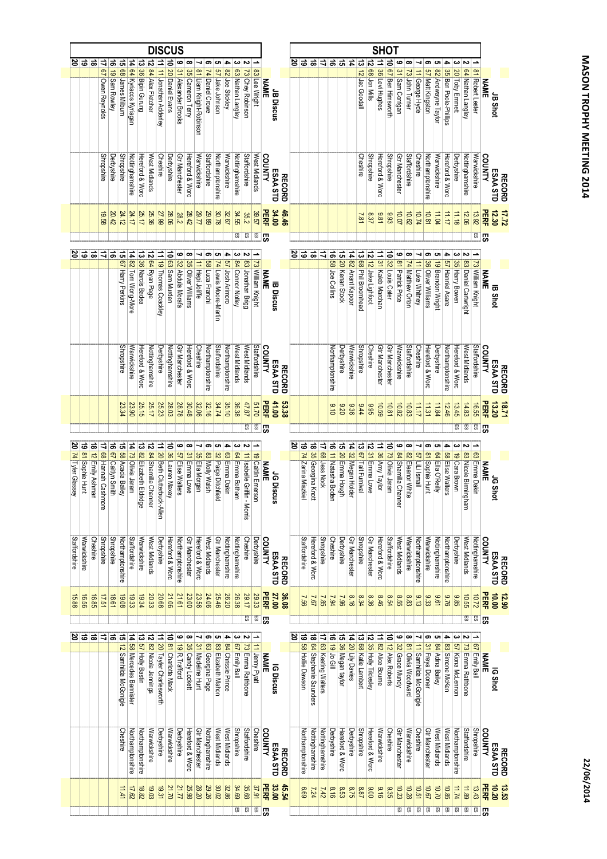|                     | <u>음</u>          | ಹ                  |                       |                     |                         |                         |                          |                                     |                                        |                      | $\mathbf{e}$              | ∞                  | ↘                       | თ                              | C,                       | 4                  | ω                       | N                            |                    |               |                 |               | ర     | ತ                                  | ∣ಹ                           | ゠                  | ಹ                   | न्न              | $\frac{1}{4}$      |                      | 12 68 Jon Mills       |                       |                       | ڡ                        | œ                     | ┙                          | ၜ                   | ပ။                     | 4                    | ယ                 | ىم                               |                                                                      |                     |
|---------------------|-------------------|--------------------|-----------------------|---------------------|-------------------------|-------------------------|--------------------------|-------------------------------------|----------------------------------------|----------------------|---------------------------|--------------------|-------------------------|--------------------------------|--------------------------|--------------------|-------------------------|------------------------------|--------------------|---------------|-----------------|---------------|-------|------------------------------------|------------------------------|--------------------|---------------------|------------------|--------------------|----------------------|-----------------------|-----------------------|-----------------------|--------------------------|-----------------------|----------------------------|---------------------|------------------------|----------------------|-------------------|----------------------------------|----------------------------------------------------------------------|---------------------|
|                     |                   |                    | 17 67 Owen Reynolds   | 16 19 Sam Rowley    | 15 68 James Milburn     | 14 64 Kyriacos Kyriagan | 13 36 Bipin Gurung       | 12 84 Alex Fletcher                 | 11   <mark>11</mark> Jonathan Adderley | 10 20 Daniel Evans   | 31 Alexander Brooks       | 35 Cameron Terry   | 81 Liam Knight-Robinson | 74 Daniel Crowe                | 57 Jake Johnson          | 82 Joe Stickley    | 63 Nathan Langley       | 73 Chey Robinson             | 83 Lee Wright      | <b>NAME</b>   | JB Discus       |               |       |                                    |                              |                    |                     |                  |                    | 13 12 Jac Goodall    |                       | 11 36 Levi Hughes     | 10 67 Ben Himsworth   | 31 Sam Corrigan          | 73 John Turner        | 11 George Hyde             | 57 Matt Kingston    | 82 Andwayne Taylor     | 35 Ben Poole-Philips | 20 Toby Emmett    | <mark>64</mark>   Nathan Langley | 81 Robert Lester                                                     | <b>NAME</b>         |
|                     |                   |                    | <b>Shropshire</b>     | Derbyshire          | <b>Shropshire</b>       | Nottinghamshire         | Hereford & Worc          | West Midlands                       | Cheshire                               | Derbyshire           | Gtr Manchester            | Hereford & Worc    | Warwickshire            | Staffordshire                  | Northamptonshire         | Warwickshire       | Nottinghamshire         | Staffordshire                | West Midlands      | COUNTY        | ESAA STD        | <b>RECORD</b> |       |                                    |                              |                    |                     |                  |                    | Cheshire             | <b>Shropshire</b>     | Hereford & Worc       | <b>Shropshire</b>     | Gtr Manchester           | Staffordshire         | Cheshire                   | Northamptonshire    | Warwickshire           | Hereford & Worc      | Derbyshire        | Nottinghamshire                  | Warwickshire                                                         | COUNTY              |
|                     |                   |                    | 19.58                 | 20.42               | 24.12                   | 24.17                   | 25.17                    | 25.36                               | 27.99                                  | 28.06                | 28.2                      | 28.42              | 29.77                   | 29.89                          | 30.78                    | 32.67              | 34.55                   | 35.2                         | 39.57              | PERF          | 34.00           | 46.46         |       |                                    |                              |                    |                     |                  |                    | 7.81                 | 8.37                  | 186                   | 8.93                  | 10.07                    | 10.62                 | 10.74                      | 10.81               | 11.04                  | 2171                 | 11.18             | 12.06                            | 13.92                                                                | <b>PERF</b>         |
|                     |                   |                    |                       |                     |                         |                         |                          |                                     |                                        |                      |                           |                    |                         |                                |                          |                    | £S                      | ES.                          | <b>RS</b>          | ြို့          |                 |               |       |                                    |                              |                    |                     |                  |                    |                      |                       |                       |                       |                          |                       |                            |                     |                        |                      |                   |                                  | $\mathbb{E}$                                                         | ြို့က               |
|                     |                   | 8 ㅎ ㅎ ㅎ ㅎ          |                       |                     | ದ                       |                         |                          |                                     |                                        |                      |                           | œ                  | ⊣                       | თ                              | ပ္စ                      |                    |                         |                              |                    |               |                 |               | ಹ ಹ ಜ |                                    |                              | ロ                  | $\vec{e}$           | ੌ                |                    |                      |                       |                       |                       | $\bullet$                | $\infty$              | ⊣                          | ြဇာ                 | ပ္စ                    | 4                    | ω                 |                                  |                                                                      |                     |
|                     |                   |                    |                       |                     | <b>67 Harry Perkins</b> | 14 82 Tom Wong-More     | 13 36 Narcis Badea       | 12 64 Ryan Page                     | 11 19 Thomas Coackley                  | 10 63 Sam Murden     | 9 32 Abdula Morafa        | 35 Oliver Williams | <b>11 Hepi Joliffe</b>  | <mark>58</mark>   Luca Franchi | 74 Lewis Moore-Martin    | 4 57 Josh Arimoro  | 3 84 Connor Notley      | 2 83 Jonathan Brigg          | 73 William Knight  | <b>NAME</b>   | <b>B</b> Discus |               |       |                                    |                              |                    | 58 Joe Collins      | 20 Kenan Stock   | 14 82 Anant Kapoor | 13 68 Phil Broomhead | 12 12 Jake Lighfoot   | 11 31 Kaleb Marchan   | 10 32 Louis Cater     | 81 Patrick Price         | 74 Matthew Orton      | <b>11 Luke Whitney</b>     | 36 Oliver Williams  | 19 Brandon Wright      | 57 Hanniel Asare     | 35 Harry Bowen    | 83 Daniel Cartwright             | 73 William Knight<br><b>NAME</b><br><b>NAME</b><br>W <sub>IT</sub>   |                     |
|                     |                   |                    |                       |                     | <b>Shropshire</b>       | Warwickshire            | Hereford & Worc          | Nottinghamshire                     | Derbyshire                             | Nottinghamshire      | <b>Gtr Manchester</b>     | Hereford & Worc    | Cheshire                | Northamptonshire               | Staffordshire            | Northamptonshire   | West Midlands           | West Midlands                | Staffordshire      | <b>COUNTY</b> | ESAA STD        | <b>RECORD</b> |       |                                    |                              |                    | Northamptonshire    | Derbyshire       | Warwickshire       | Shropshire           | Cheshire              | <b>Gtr Manchester</b> | <b>Gtr Manchester</b> | Warwickshire             | Staffordshire         | Cheshire                   | Hereford & Worc     | Derbyshire             | Northamptonshire     | Hereford & Worc   | West Midlands                    | Staffordshire                                                        | COUNTY              |
|                     |                   |                    |                       |                     | 23.34                   | 23.90                   | 25.15                    | 25.17                               | 25.23                                  | 28.03                | 28.78                     | 30.48              | 32.06                   | 32.16                          | 34.74                    | 35.10              | 36.38                   | 47.87                        | 01.70              | PERF          | 41.00           | 53.38         |       |                                    |                              |                    | 6.10                | 02.20            | 9.36               | 74                   | 3.95                  | 6901                  | 10.81                 | 10.82                    | 10.83                 | 11.17                      | 11.31               | 11.84                  | 12.46                | 13.45             | 14.83                            | 16.55                                                                | <b>PERF</b>         |
|                     |                   |                    |                       |                     |                         |                         |                          |                                     |                                        |                      |                           |                    |                         |                                |                          |                    |                         | £S                           | 63                 | 呪             |                 |               |       |                                    |                              |                    |                     |                  |                    |                      |                       |                       |                       |                          |                       |                            |                     |                        |                      | 찌                 | 53                               | $\overline{5}$                                                       | க                   |
| 20 74 Tyler Glassey | 19 81 Sophie Hunt | 18 12 Emily Ashmar | 17 68 Hannah Cashmore | 16 67 Caitlyn Smith | 15 58 Acacia Bailey     | 14 73 Olivia Jaram      | 13 82 Elizabeth Eldridge | 12 <mark>84</mark> Shamilla Channer | 11 20 Beth Clutterbuck-Alle            | 10 36 Lauren Maxey   | 9 57 Elise Walters        | ∞<br>31 Emma Lowe  | ↘<br>35 Ella Morgan     | თ<br>83 Molly Walsh            | ပ<br>32 Paige Ditchfield | 4 63 Emma Dakin    | 64 Emma Botham          | 11 Isabelle Griffin - Morris | 19 Caitlin Emerson | <b>NAME</b>   | JG Discus       |               | ర     | 19 <mark>74</mark> Zarina Miszkiel | 18 35 Georgina Knott         | 17 68 Jess Nock    | 16 11 Natasha Boden | 15 20 Emma Hough | 14 32 Megan Holder | 13 67 Tait Furnival  | 12 31 Emma Lowe       | 11 36 Amy Taylor      | 10 73 Olivia Jaram    | م<br>84 Shamilla Channer | ∞<br>82 Eleanor White | ⊣<br><b>S7</b> LiLi Ismail | თ<br>81 Sophie Hunt | C,<br>64 Ella O'Reilly | 4 58 Elise Walters   | 19 Cara Brown     | 83 Nicole Birmingham             | 63 Emma Dakin                                                        | <b>NAME</b>         |
| Staffordshire       | Warwickshire      | Cheshire           | <b>Shropshire</b>     | <b>Shropshire</b>   | Northamptonshire        | Staffordshire           | Warwickshire             | West Midlands                       | Derbyshire                             | Hereford & Worc      | Northamptonshire          | Gtr Manchester     | Hereford & Worc         | West Midlands                  | Gtr Manchester           | Nottinghamshire    | Nottinghamshire         | Cheshire                     | Derbyshire         | COUNTY        | ESAA STD        | <b>RECORD</b> |       | <b>Staffordshire</b>               | Hereford & Worc              | <b>Shropshire</b>  | Cheshire            | Derbyshire       | Gtr Manchester     | <b>Shropshire</b>    | Gtr Manchester        | Hereford & Worc       | Staffordshire         | West Midlands            | Warwickshire          | Northamptonshire           | Warwickshire        | Nottinghamshire        | Northamptonshire     | Derbyshire        | West Midlands                    | Nottinghamshire                                                      |                     |
| 15.88               | 16.56             | 16.85              | 17.51                 | 18.61               | 19.08                   | 19.33                   | 19.34                    | 20.33                               | 20.68                                  | 21.06                | 21.61                     | 23.00              | 23.56                   | 24.06                          | 26.20<br>25.46           |                    | 26.38                   | 29.17                        | 29.33              | <b>PERF</b>   | 27.00           | 36.08         |       | 99'Z                               | $\frac{7.56}{7.5}$           |                    | 1.94                | 96'7             | 8.16               | 8.34                 | 8.36                  | 9.46                  | 8.54                  | 8.55                     | 8.83                  | 9.13                       | 9.33                | 9.61                   | 92.6                 | 3.85              | 10.55                            | 10.72                                                                |                     |
|                     |                   |                    |                       |                     |                         |                         |                          |                                     |                                        |                      |                           |                    |                         |                                |                          |                    |                         | $\overline{5}$               | <b>ES</b>          | ါ့ကွ          |                 |               |       |                                    |                              |                    |                     |                  |                    |                      |                       |                       |                       |                          |                       |                            |                     |                        |                      |                   | S.                               | ES                                                                   | <b>PERF</b><br>င္ဟာ |
| జ                   |                   | 'ಹೆ ಹೆ             | $\overrightarrow{a}$  | 'ಹ                  | ਕ                       | $\ddot{\vec{r}}$        | ದ                        |                                     |                                        |                      | ဖ                         |                    |                         |                                |                          |                    |                         |                              |                    |               |                 |               |       |                                    | $\vec{a}$                    | ₹                  | ಕ                   | ਨ                |                    |                      |                       |                       |                       |                          |                       |                            |                     |                        |                      |                   |                                  |                                                                      |                     |
|                     |                   |                    |                       |                     | 12 Samhilda McGonigle   | 8 Mercedes Bannister    | 57 Holly Bastin          | 12 82 Nicola Jennings               | 11 20 Tayler Charlesworth              | 10 81 Charlotte Mack | 19 <sub>R.</sub> Trafford | 35 Candy Lockett   | 31 Madeline Hunt        | 63 Georgina Page               | 83 Elizabeth Mahon       | 84 Chrissie Prince | 67 Emily Ball           | 73 Emma Rathbone             | 11 Jenny Pyatt     | <b>NAME</b>   | IG Discus       |               |       | 19 58 Hollie Dawson                | <b>64</b> Stephanie Saunders | 63 Keating Walters | 19 Jo Gill          | 36 Megan taylor  | 14 20 Lily Davies  | 13 68 Katie Lambert  | 12 35 Holly Tildesley | 11 82 Alice Bourne    | 10 12 Alex Roberts    | 32 Grace Mundy           | 81 Olivia Woodward    | 11 Samhilda McGonigle      | 31 Freya Dooner     | 84 Adina Bailey        | 83 Simone McKen      | 57 Kiona McLennon | <mark>73</mark> Emma Rathbone    | 67 Emily Ball<br><b>IG Shot</b><br>NAME<br><sub>Em<sup>p</sup></sub> |                     |
|                     |                   |                    |                       |                     | Cheshire                | Northamptonshire        | Northamptonshire         | Warwickshire                        | Derbyshire                             | Warwickshire         | Derbyshire                | Hereford & Worc    | Gtr Manchester          | Nottinghamshire                | West Midlands            | West Midlands      | <b>Shropshire</b>       | Staffordshire                | Cheshire           | COUNTY        | ESAA STD        | <b>RECORD</b> |       | Northamptonshire                   | Nottinghamshire              | Nottinghamshire    | Derbyshire          | Hereford & Worc  | Derbyshire         | <b>Shropshire</b>    | Hereford & Worc       | Warwickshire          | Cheshire              | <b>Gtr Manchester</b>    | Warwickshire          | Cheshire                   | Gtr Manchester      | West Midlands          | West Midlands        | Northamptonshire  | Staffordshire                    | Shropshire                                                           | COUNTY              |
|                     |                   |                    |                       |                     | 11.41                   | 17.62                   | 18.82                    | 19.03                               | 19.31                                  | 21.70                | 21.77                     | 25.98              | 28.20                   | 29.26                          | 30.02                    | 32.86              | 34.69                   | 35.68                        | 37.91              | <b>PERF</b>   | 33.00           | 45.54         |       | 7.24                               |                              | 27/2               | 8.16                | 8.53             | 97.5               | 8.87                 | 006                   | 916                   | 9.35                  | 10.23                    | 10.28                 | 10.51                      | 10.67               | 0/101                  | 10.85                | 11.74             | 11.89                            | 13.43                                                                | <b>PERF</b>         |
|                     |                   |                    |                       |                     |                         |                         |                          |                                     |                                        |                      |                           |                    |                         |                                |                          |                    | $\overline{\mathbb{E}}$ | <b>ES</b>                    | SS <sub>1</sub>    | က္ကြ          |                 |               |       |                                    |                              |                    |                     |                  |                    |                      |                       |                       |                       | 53                       | ᇚ                     | 59                         | ES                  | 59                     | 59                   | SS <sub>1</sub>   | 53                               | 59                                                                   |                     |

DISCUS

SHOT